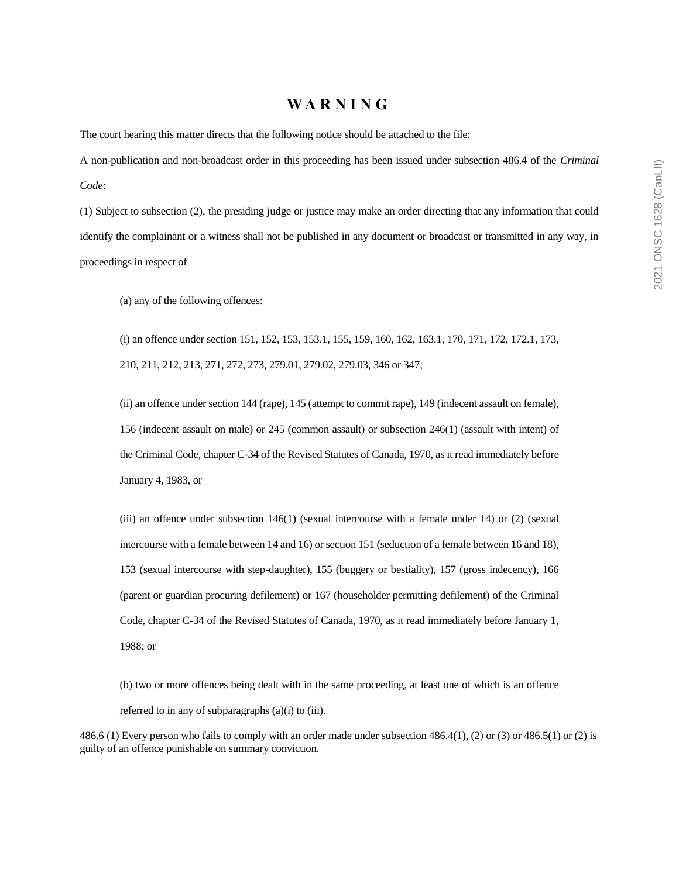#### **W A R N I N G**

The court hearing this matter directs that the following notice should be attached to the file:

A non-publication and non-broadcast order in this proceeding has been issued under subsection 486.4 of the *Criminal Code*:

(1) Subject to subsection (2), the presiding judge or justice may make an order directing that any information that could identify the complainant or a witness shall not be published in any document or broadcast or transmitted in any way, in proceedings in respect of

(a) any of the following offences:

(i) an offence under section 151, 152, 153, 153.1, 155, 159, 160, 162, 163.1, 170, 171, 172, 172.1, 173, 210, 211, 212, 213, 271, 272, 273, 279.01, 279.02, 279.03, 346 or 347;

(ii) an offence under section 144 (rape), 145 (attempt to commit rape), 149 (indecent assault on female), 156 (indecent assault on male) or 245 (common assault) or subsection 246(1) (assault with intent) of the Criminal Code, chapter C-34 of the Revised Statutes of Canada, 1970, as it read immediately before January 4, 1983, or

(iii) an offence under subsection 146(1) (sexual intercourse with a female under 14) or (2) (sexual intercourse with a female between 14 and 16) or section 151 (seduction of a female between 16 and 18), 153 (sexual intercourse with step-daughter), 155 (buggery or bestiality), 157 (gross indecency), 166 (parent or guardian procuring defilement) or 167 (householder permitting defilement) of the Criminal Code, chapter C-34 of the Revised Statutes of Canada, 1970, as it read immediately before January 1, 1988; or

(b) two or more offences being dealt with in the same proceeding, at least one of which is an offence referred to in any of subparagraphs (a)(i) to (iii).

486.6 (1) Every person who fails to comply with an order made under subsection 486.4(1), (2) or (3) or 486.5(1) or (2) is guilty of an offence punishable on summary conviction.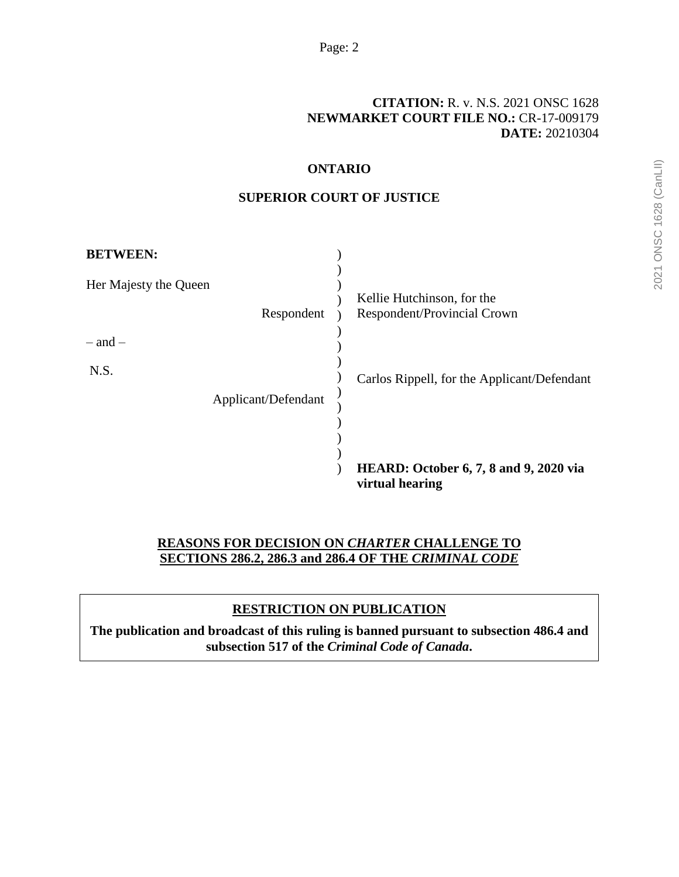# **[CITATION:](http://intra.judicialsecurity.jus.gov.on.ca/NeutralCitation/)** R. v. N.S. 2021 ONSC 1628 **NEWMARKET COURT FILE NO.:** CR-17-009179 **DATE:** 20210304

### **ONTARIO**

### **SUPERIOR COURT OF JUSTICE**

| <b>BETWEEN:</b>       |                     |                                                                  |
|-----------------------|---------------------|------------------------------------------------------------------|
| Her Majesty the Queen | Respondent          | Kellie Hutchinson, for the<br>Respondent/Provincial Crown        |
| $-$ and $-$           |                     |                                                                  |
| N.S.                  |                     | Carlos Rippell, for the Applicant/Defendant                      |
|                       | Applicant/Defendant |                                                                  |
|                       |                     |                                                                  |
|                       |                     | <b>HEARD:</b> October 6, 7, 8 and 9, 2020 via<br>virtual hearing |

# **REASONS FOR DECISION ON** *CHARTER* **CHALLENGE TO SECTIONS 286.2, 286.3 and 286.4 OF THE** *CRIMINAL CODE*

# **RESTRICTION ON PUBLICATION**

**The publication and broadcast of this ruling is banned pursuant to subsection 486.4 and subsection 517 of the** *Criminal Code of Canada***.**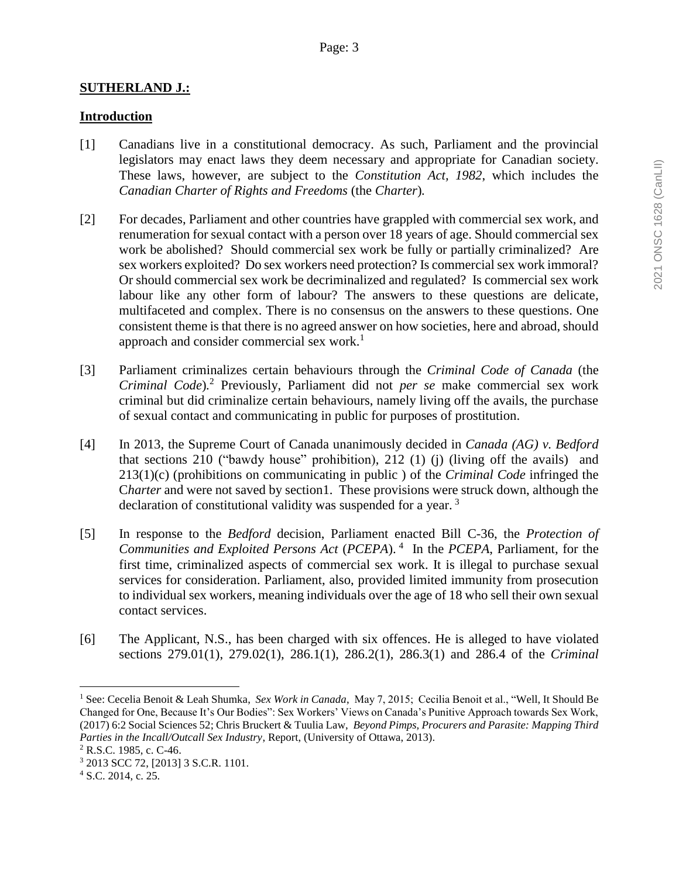#### **SUTHERLAND J.:**

#### **Introduction**

- [1] Canadians live in a constitutional democracy. As such, Parliament and the provincial legislators may enact laws they deem necessary and appropriate for Canadian society. These laws, however, are subject to the *Constitution Act, 1982*, which includes the *Canadian Charter of Rights and Freedoms* (the *Charter*)*.*
- [2] For decades, Parliament and other countries have grappled with commercial sex work, and renumeration for sexual contact with a person over 18 years of age. Should commercial sex work be abolished? Should commercial sex work be fully or partially criminalized? Are sex workers exploited? Do sex workers need protection? Is commercial sex work immoral? Or should commercial sex work be decriminalized and regulated? Is commercial sex work labour like any other form of labour? The answers to these questions are delicate, multifaceted and complex. There is no consensus on the answers to these questions. One consistent theme is that there is no agreed answer on how societies, here and abroad, should approach and consider commercial sex work.<sup>1</sup>
- [3] Parliament criminalizes certain behaviours through the *Criminal Code of Canada* (the *Criminal Code*)*.* <sup>2</sup> Previously, Parliament did not *per se* make commercial sex work criminal but did criminalize certain behaviours, namely living off the avails, the purchase of sexual contact and communicating in public for purposes of prostitution.
- [4] In 2013, the Supreme Court of Canada unanimously decided in *Canada (AG) v. Bedford* that sections 210 ("bawdy house" prohibition), 212 (1) (j) (living off the avails) and 213(1)(c) (prohibitions on communicating in public ) of the *Criminal Code* infringed the C*harter* and were not saved by section1. These provisions were struck down, although the declaration of constitutional validity was suspended for a year. <sup>3</sup>
- [5] In response to the *Bedford* decision, Parliament enacted Bill C-36, the *Protection of Communities and Exploited Persons Act* (*PCEPA*). <sup>4</sup> In the *PCEPA*, Parliament, for the first time, criminalized aspects of commercial sex work. It is illegal to purchase sexual services for consideration. Parliament, also, provided limited immunity from prosecution to individual sex workers, meaning individuals over the age of 18 who sell their own sexual contact services.
- [6] The Applicant, N.S., has been charged with six offences. He is alleged to have violated sections 279.01(1), 279.02(1), 286.1(1), 286.2(1), 286.3(1) and 286.4 of the *Criminal*

<sup>1</sup> See: Cecelia Benoit & Leah Shumka, *Sex Work in Canada*, May 7, 2015; Cecilia Benoit et al., "Well, It Should Be Changed for One, Because It's Our Bodies": Sex Workers' Views on Canada's Punitive Approach towards Sex Work, (2017) 6:2 Social Sciences 52; Chris Bruckert & Tuulia Law, *Beyond Pimps, Procurers and Parasite: Mapping Third Parties in the Incall/Outcall Sex Industry*, Report, (University of Ottawa, 2013).

<sup>2</sup> R.S.C. 1985, c. C-46.

<sup>3</sup> 2013 SCC 72, [2013] 3 S.C.R. 1101.

<sup>4</sup> S.C. 2014, c. 25.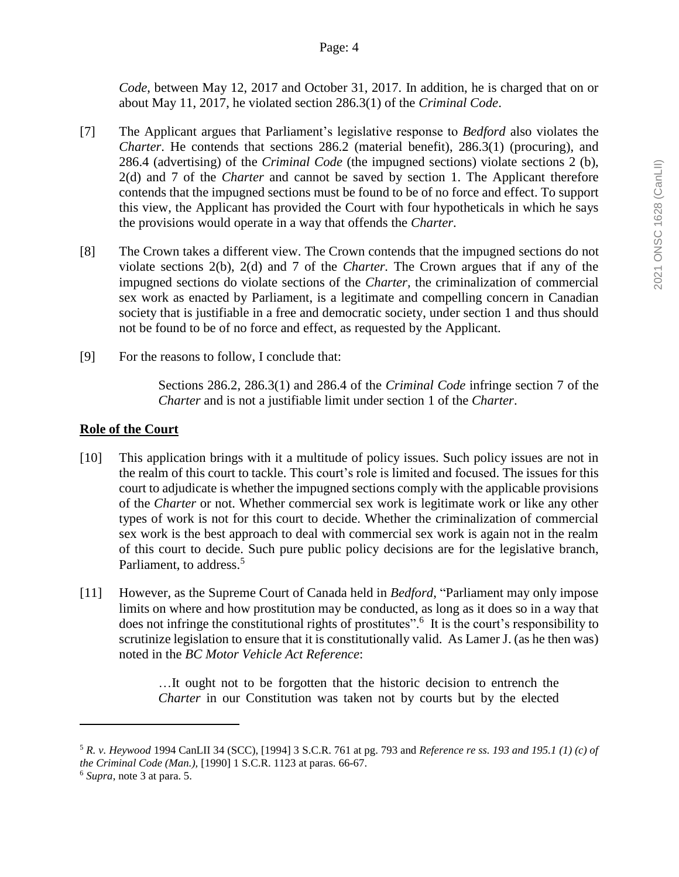*Code*, between May 12, 2017 and October 31, 2017*.* In addition, he is charged that on or about May 11, 2017, he violated section 286.3(1) of the *Criminal Code*.

- [7] The Applicant argues that Parliament's legislative response to *Bedford* also violates the *Charter*. He contends that sections 286.2 (material benefit), 286.3(1) (procuring), and 286.4 (advertising) of the *Criminal Code* (the impugned sections) violate sections 2 (b), 2(d) and 7 of the *Charter* and cannot be saved by section 1. The Applicant therefore contends that the impugned sections must be found to be of no force and effect. To support this view, the Applicant has provided the Court with four hypotheticals in which he says the provisions would operate in a way that offends the *Charter*.
- [8] The Crown takes a different view. The Crown contends that the impugned sections do not violate sections 2(b), 2(d) and 7 of the *Charter.* The Crown argues that if any of the impugned sections do violate sections of the *Charter,* the criminalization of commercial sex work as enacted by Parliament, is a legitimate and compelling concern in Canadian society that is justifiable in a free and democratic society, under section 1 and thus should not be found to be of no force and effect, as requested by the Applicant.
- [9] For the reasons to follow, I conclude that:

Sections 286.2, 286.3(1) and 286.4 of the *Criminal Code* infringe section 7 of the *Charter* and is not a justifiable limit under section 1 of the *Charter*.

# **Role of the Court**

- [10] This application brings with it a multitude of policy issues. Such policy issues are not in the realm of this court to tackle. This court's role is limited and focused. The issues for this court to adjudicate is whether the impugned sections comply with the applicable provisions of the *Charter* or not. Whether commercial sex work is legitimate work or like any other types of work is not for this court to decide. Whether the criminalization of commercial sex work is the best approach to deal with commercial sex work is again not in the realm of this court to decide. Such pure public policy decisions are for the legislative branch, Parliament, to address.<sup>5</sup>
- [11] However, as the Supreme Court of Canada held in *Bedford*, "Parliament may only impose limits on where and how prostitution may be conducted, as long as it does so in a way that does not infringe the constitutional rights of prostitutes".<sup>6</sup> It is the court's responsibility to scrutinize legislation to ensure that it is constitutionally valid. As Lamer J. (as he then was) noted in the *BC Motor Vehicle Act Reference*:

…It ought not to be forgotten that the historic decision to entrench the *Charter* in our Constitution was taken not by courts but by the elected

<sup>5</sup> *R. v. Heywood* 1994 CanLII 34 (SCC), [1994] 3 S.C.R. 761 at pg. 793 and *Reference re ss. 193 and 195.1 (1) (c) of the Criminal Code (Man.),* [1990] 1 S.C.R. 1123 at paras. 66-67.

<sup>6</sup> *Supra*, note 3 at para. 5.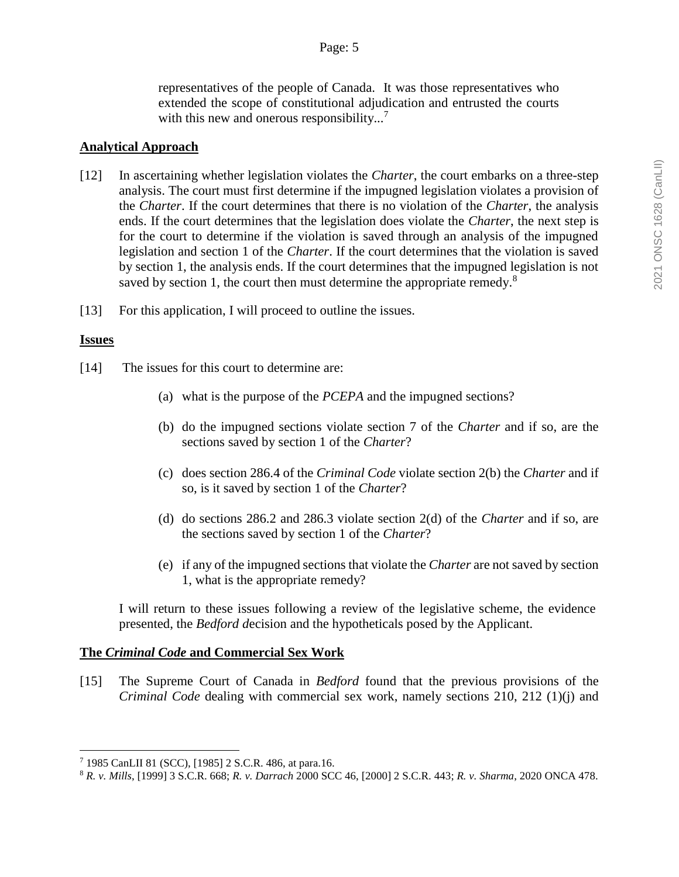representatives of the people of Canada. It was those representatives who extended the scope of constitutional adjudication and entrusted the courts with this new and onerous responsibility...<sup>7</sup>

#### **Analytical Approach**

- [12] In ascertaining whether legislation violates the *Charter*, the court embarks on a three-step analysis. The court must first determine if the impugned legislation violates a provision of the *Charter*. If the court determines that there is no violation of the *Charter*, the analysis ends. If the court determines that the legislation does violate the *Charter*, the next step is for the court to determine if the violation is saved through an analysis of the impugned legislation and section 1 of the *Charter*. If the court determines that the violation is saved by section 1, the analysis ends. If the court determines that the impugned legislation is not saved by section 1, the court then must determine the appropriate remedy.<sup>8</sup>
- [13] For this application, I will proceed to outline the issues.

### **Issues**

 $\overline{a}$ 

- [14] The issues for this court to determine are:
	- (a) what is the purpose of the *PCEPA* and the impugned sections?
	- (b) do the impugned sections violate section 7 of the *Charter* and if so, are the sections saved by section 1 of the *Charter*?
	- (c) does section 286.4 of the *Criminal Code* violate section 2(b) the *Charter* and if so, is it saved by section 1 of the *Charter*?
	- (d) do sections 286.2 and 286.3 violate section 2(d) of the *Charter* and if so, are the sections saved by section 1 of the *Charter*?
	- (e) if any of the impugned sections that violate the *Charter* are not saved by section 1, what is the appropriate remedy?

I will return to these issues following a review of the legislative scheme, the evidence presented, the *Bedford d*ecision and the hypotheticals posed by the Applicant.

# **The** *Criminal Code* **and Commercial Sex Work**

[15] The Supreme Court of Canada in *Bedford* found that the previous provisions of the *Criminal Code* dealing with commercial sex work, namely sections 210, 212 (1)(j) and

<sup>7</sup> 1985 CanLII 81 (SCC), [1985] 2 S.C.R. 486, at para.16.

<sup>8</sup> *R. v. Mills*, [1999] 3 S.C.R. 668; *R. v. Darrach* 2000 SCC 46, [2000] 2 S.C.R. 443; *R. v. Sharma*, 2020 ONCA 478.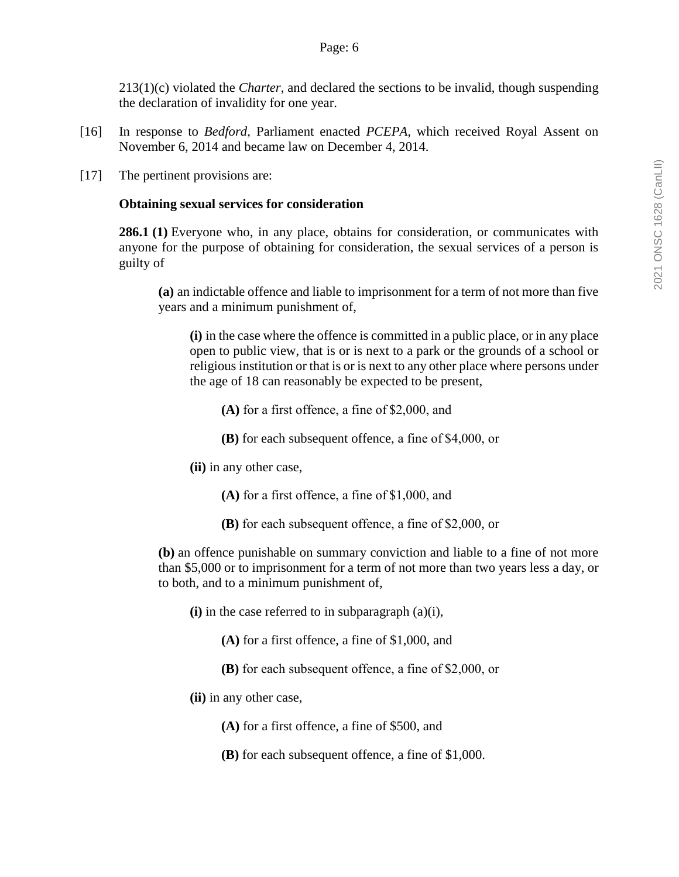213(1)(c) violated the *Charter*, and declared the sections to be invalid, though suspending the declaration of invalidity for one year.

- [16] In response to *Bedford*, Parliament enacted *PCEPA,* which received Royal Assent on November 6, 2014 and became law on December 4, 2014.
- [17] The pertinent provisions are:

#### **Obtaining sexual services for consideration**

**286.1 (1)** Everyone who, in any place, obtains for consideration, or communicates with anyone for the purpose of obtaining for consideration, the sexual services of a person is guilty of

**(a)** an indictable offence and liable to imprisonment for a term of not more than five years and a minimum punishment of,

**(i)** in the case where the offence is committed in a public place, or in any place open to public view, that is or is next to a park or the grounds of a school or religious institution or that is or is next to any other place where persons under the age of 18 can reasonably be expected to be present,

- **(A)** for a first offence, a fine of \$2,000, and
- **(B)** for each subsequent offence, a fine of \$4,000, or
- **(ii)** in any other case,
	- **(A)** for a first offence, a fine of \$1,000, and
	- **(B)** for each subsequent offence, a fine of \$2,000, or

**(b)** an offence punishable on summary conviction and liable to a fine of not more than \$5,000 or to imprisonment for a term of not more than two years less a day, or to both, and to a minimum punishment of,

- **(i)** in the case referred to in subparagraph (a)(i),
	- **(A)** for a first offence, a fine of \$1,000, and
	- **(B)** for each subsequent offence, a fine of \$2,000, or
- **(ii)** in any other case,
	- **(A)** for a first offence, a fine of \$500, and
	- **(B)** for each subsequent offence, a fine of \$1,000.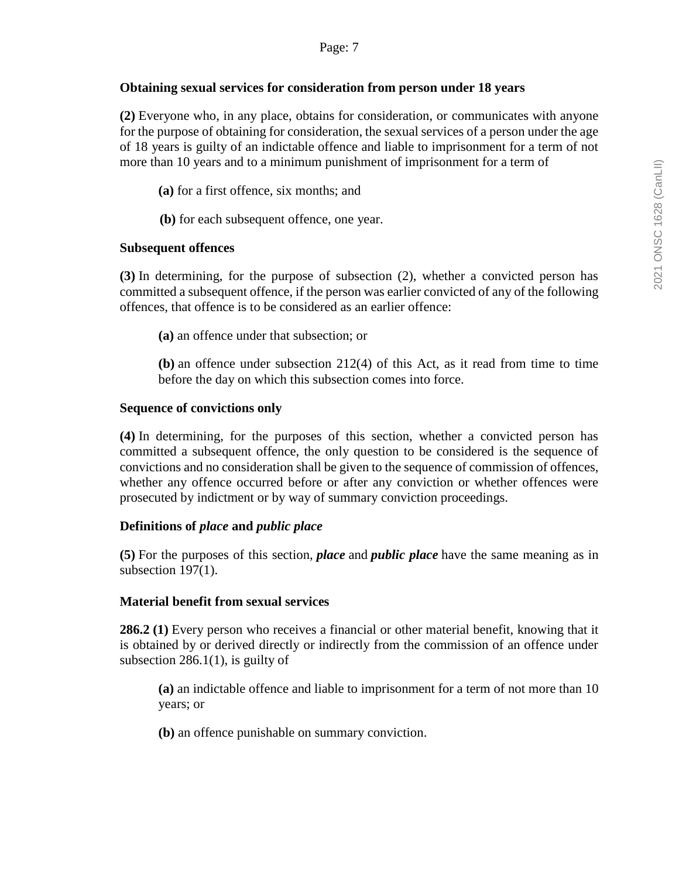### Page: 7

#### **Obtaining sexual services for consideration from person under 18 years**

**(2)** Everyone who, in any place, obtains for consideration, or communicates with anyone for the purpose of obtaining for consideration, the sexual services of a person under the age of 18 years is guilty of an indictable offence and liable to imprisonment for a term of not more than 10 years and to a minimum punishment of imprisonment for a term of

**(a)** for a first offence, six months; and

**(b)** for each subsequent offence, one year.

### **Subsequent offences**

**(3)** In determining, for the purpose of subsection (2), whether a convicted person has committed a subsequent offence, if the person was earlier convicted of any of the following offences, that offence is to be considered as an earlier offence:

**(a)** an offence under that subsection; or

**(b)** an offence under subsection 212(4) of this Act, as it read from time to time before the day on which this subsection comes into force.

### **Sequence of convictions only**

**(4)** In determining, for the purposes of this section, whether a convicted person has committed a subsequent offence, the only question to be considered is the sequence of convictions and no consideration shall be given to the sequence of commission of offences, whether any offence occurred before or after any conviction or whether offences were prosecuted by indictment or by way of summary conviction proceedings.

# **Definitions of** *place* **and** *public place*

**(5)** For the purposes of this section, *place* and *public place* have the same meaning as in subsection 197(1).

# **Material benefit from sexual services**

**286.2 (1)** Every person who receives a financial or other material benefit, knowing that it is obtained by or derived directly or indirectly from the commission of an offence under subsection  $286.1(1)$ , is guilty of

**(a)** an indictable offence and liable to imprisonment for a term of not more than 10 years; or

**(b)** an offence punishable on summary conviction.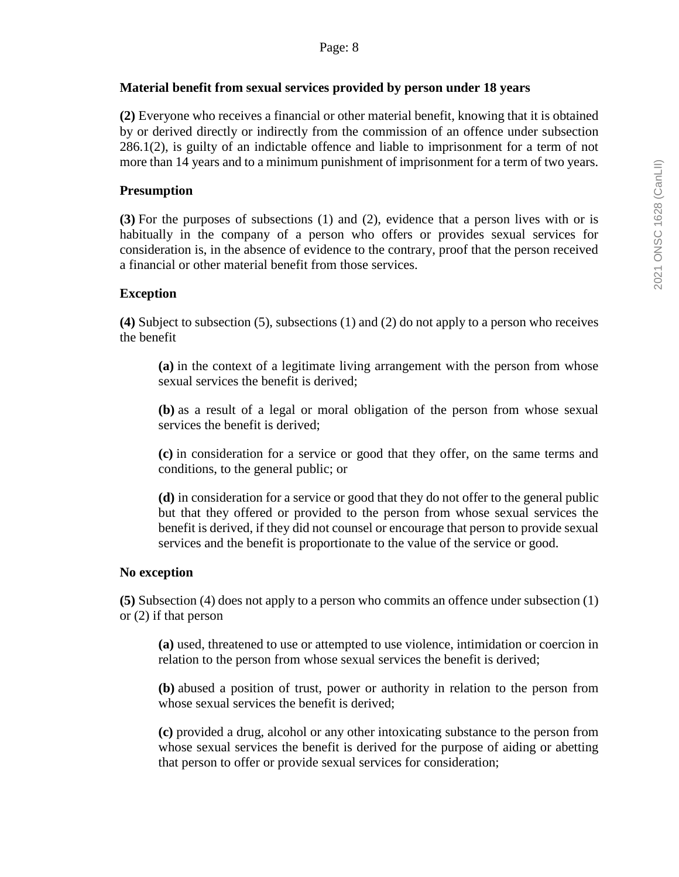#### **Material benefit from sexual services provided by person under 18 years**

**(2)** Everyone who receives a financial or other material benefit, knowing that it is obtained by or derived directly or indirectly from the commission of an offence under subsection 286.1(2), is guilty of an indictable offence and liable to imprisonment for a term of not more than 14 years and to a minimum punishment of imprisonment for a term of two years.

### **Presumption**

**(3)** For the purposes of subsections (1) and (2), evidence that a person lives with or is habitually in the company of a person who offers or provides sexual services for consideration is, in the absence of evidence to the contrary, proof that the person received a financial or other material benefit from those services.

### **Exception**

**(4)** Subject to subsection (5), subsections (1) and (2) do not apply to a person who receives the benefit

**(a)** in the context of a legitimate living arrangement with the person from whose sexual services the benefit is derived;

**(b)** as a result of a legal or moral obligation of the person from whose sexual services the benefit is derived;

**(c)** in consideration for a service or good that they offer, on the same terms and conditions, to the general public; or

**(d)** in consideration for a service or good that they do not offer to the general public but that they offered or provided to the person from whose sexual services the benefit is derived, if they did not counsel or encourage that person to provide sexual services and the benefit is proportionate to the value of the service or good.

#### **No exception**

**(5)** Subsection (4) does not apply to a person who commits an offence under subsection (1) or (2) if that person

**(a)** used, threatened to use or attempted to use violence, intimidation or coercion in relation to the person from whose sexual services the benefit is derived;

**(b)** abused a position of trust, power or authority in relation to the person from whose sexual services the benefit is derived;

**(c)** provided a drug, alcohol or any other intoxicating substance to the person from whose sexual services the benefit is derived for the purpose of aiding or abetting that person to offer or provide sexual services for consideration;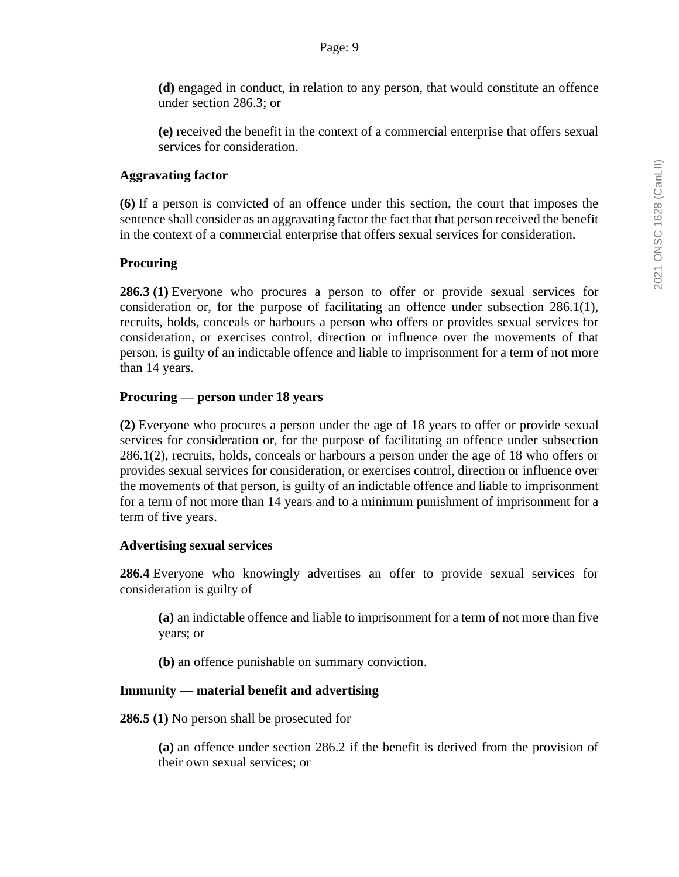**(d)** engaged in conduct, in relation to any person, that would constitute an offence under section 286.3; or

**(e)** received the benefit in the context of a commercial enterprise that offers sexual services for consideration.

### **Aggravating factor**

**(6)** If a person is convicted of an offence under this section, the court that imposes the sentence shall consider as an aggravating factor the fact that that person received the benefit in the context of a commercial enterprise that offers sexual services for consideration.

### **Procuring**

**286.3 (1)** Everyone who procures a person to offer or provide sexual services for consideration or, for the purpose of facilitating an offence under subsection 286.1(1), recruits, holds, conceals or harbours a person who offers or provides sexual services for consideration, or exercises control, direction or influence over the movements of that person, is guilty of an indictable offence and liable to imprisonment for a term of not more than 14 years.

### **Procuring — person under 18 years**

**(2)** Everyone who procures a person under the age of 18 years to offer or provide sexual services for consideration or, for the purpose of facilitating an offence under subsection 286.1(2), recruits, holds, conceals or harbours a person under the age of 18 who offers or provides sexual services for consideration, or exercises control, direction or influence over the movements of that person, is guilty of an indictable offence and liable to imprisonment for a term of not more than 14 years and to a minimum punishment of imprisonment for a term of five years.

#### **Advertising sexual services**

**286.4** Everyone who knowingly advertises an offer to provide sexual services for consideration is guilty of

**(a)** an indictable offence and liable to imprisonment for a term of not more than five years; or

**(b)** an offence punishable on summary conviction.

# **Immunity — material benefit and advertising**

**286.5 (1)** No person shall be prosecuted for

**(a)** an offence under section 286.2 if the benefit is derived from the provision of their own sexual services; or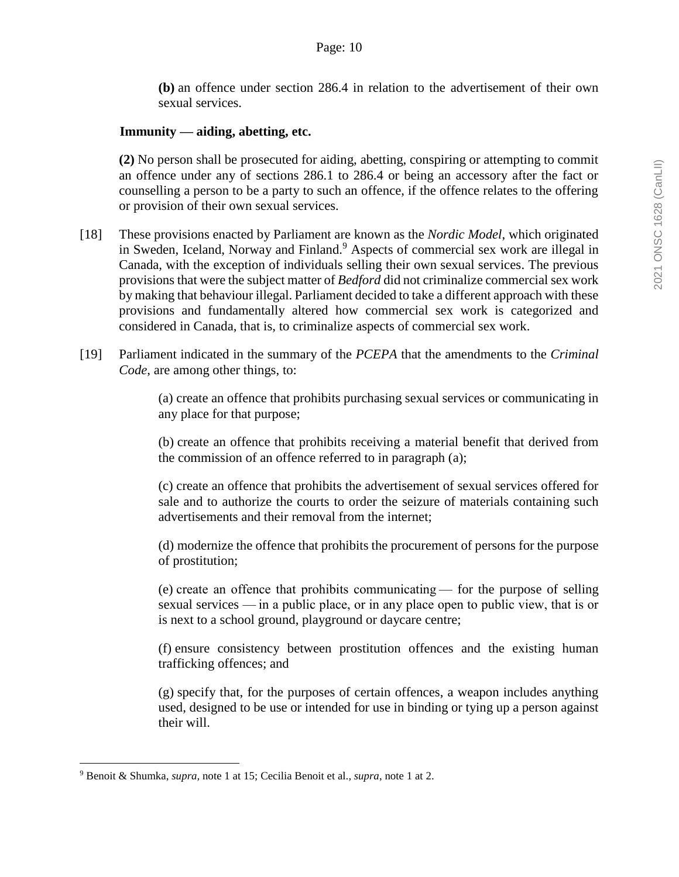**(b)** an offence under section 286.4 in relation to the advertisement of their own sexual services.

### **Immunity — aiding, abetting, etc.**

**(2)** No person shall be prosecuted for aiding, abetting, conspiring or attempting to commit an offence under any of sections 286.1 to 286.4 or being an accessory after the fact or counselling a person to be a party to such an offence, if the offence relates to the offering or provision of their own sexual services.

- [18] These provisions enacted by Parliament are known as the *Nordic Model*, which originated in Sweden, Iceland, Norway and Finland.<sup>9</sup> Aspects of commercial sex work are illegal in Canada, with the exception of individuals selling their own sexual services. The previous provisions that were the subject matter of *Bedford* did not criminalize commercial sex work by making that behaviour illegal. Parliament decided to take a different approach with these provisions and fundamentally altered how commercial sex work is categorized and considered in Canada, that is, to criminalize aspects of commercial sex work.
- [19] Parliament indicated in the summary of the *PCEPA* that the amendments to the *Criminal Code*, are among other things, to:

(a) create an offence that prohibits purchasing sexual services or communicating in any place for that purpose;

(b) create an offence that prohibits receiving a material benefit that derived from the commission of an offence referred to in paragraph (a);

(c) create an offence that prohibits the advertisement of sexual services offered for sale and to authorize the courts to order the seizure of materials containing such advertisements and their removal from the internet;

(d) modernize the offence that prohibits the procurement of persons for the purpose of prostitution;

(e) create an offence that prohibits communicating — for the purpose of selling sexual services — in a public place, or in any place open to public view, that is or is next to a school ground, playground or daycare centre;

(f) ensure consistency between prostitution offences and the existing human trafficking offences; and

(g) specify that, for the purposes of certain offences, a weapon includes anything used, designed to be use or intended for use in binding or tying up a person against their will.

<sup>9</sup> Benoit & Shumka, *supra,* note 1 at 15; Cecilia Benoit et al.*, supra*, note 1 at 2.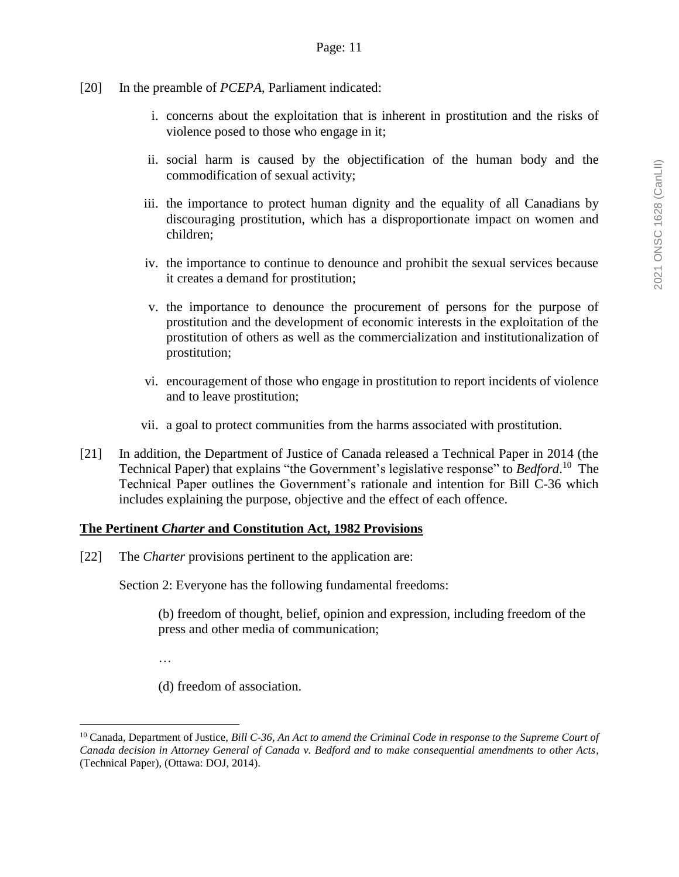- [20] In the preamble of *PCEPA*, Parliament indicated:
	- i. concerns about the exploitation that is inherent in prostitution and the risks of violence posed to those who engage in it;
	- ii. social harm is caused by the objectification of the human body and the commodification of sexual activity;
	- iii. the importance to protect human dignity and the equality of all Canadians by discouraging prostitution, which has a disproportionate impact on women and children;
	- iv. the importance to continue to denounce and prohibit the sexual services because it creates a demand for prostitution;
	- v. the importance to denounce the procurement of persons for the purpose of prostitution and the development of economic interests in the exploitation of the prostitution of others as well as the commercialization and institutionalization of prostitution;
	- vi. encouragement of those who engage in prostitution to report incidents of violence and to leave prostitution;
	- vii. a goal to protect communities from the harms associated with prostitution.
- [21] In addition, the Department of Justice of Canada released a Technical Paper in 2014 (the Technical Paper) that explains "the Government's legislative response" to *Bedford*. 10 The Technical Paper outlines the Government's rationale and intention for Bill C-36 which includes explaining the purpose, objective and the effect of each offence.

#### **The Pertinent** *Charter* **and Constitution Act, 1982 Provisions**

[22] The *Charter* provisions pertinent to the application are:

Section 2: Everyone has the following fundamental freedoms:

(b) freedom of thought, belief, opinion and expression, including freedom of the press and other media of communication;

…

 $\overline{a}$ 

(d) freedom of association.

<sup>10</sup> Canada, Department of Justice, *Bill C-36, An Act to amend the Criminal Code in response to the Supreme Court of Canada decision in Attorney General of Canada v. Bedford and to make consequential amendments to other Acts*, (Technical Paper), (Ottawa: DOJ, 2014).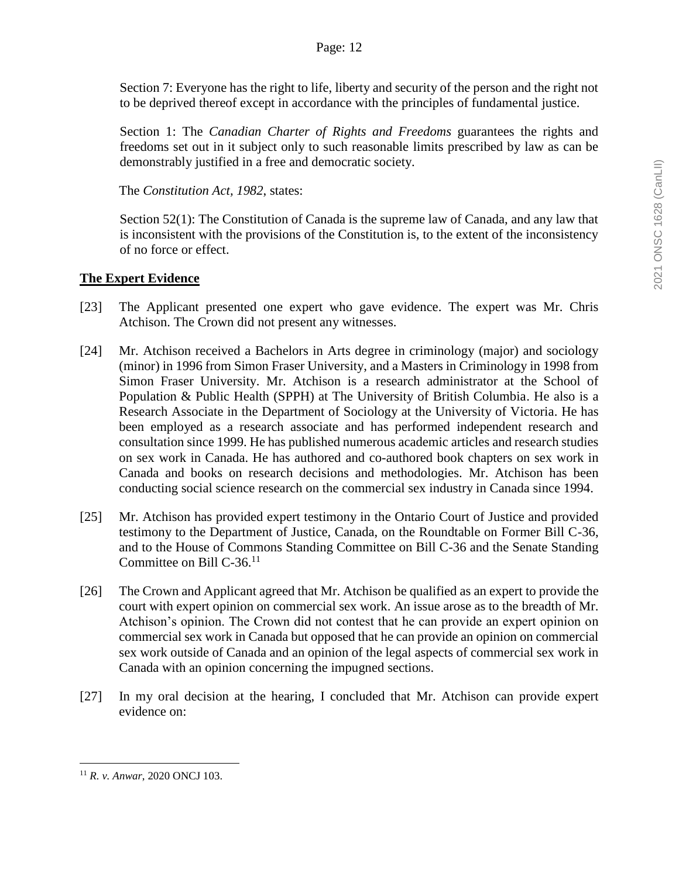Section 7: Everyone has the right to life, liberty and security of the person and the right not to be deprived thereof except in accordance with the principles of fundamental justice.

Section 1: The *Canadian Charter of Rights and Freedoms* guarantees the rights and freedoms set out in it subject only to such reasonable limits prescribed by law as can be demonstrably justified in a free and democratic society.

The *Constitution Act, 1982*, states:

Section 52(1): The Constitution of Canada is the supreme law of Canada, and any law that is inconsistent with the provisions of the Constitution is, to the extent of the inconsistency of no force or effect.

# **The Expert Evidence**

- [23] The Applicant presented one expert who gave evidence. The expert was Mr. Chris Atchison. The Crown did not present any witnesses.
- [24] Mr. Atchison received a Bachelors in Arts degree in criminology (major) and sociology (minor) in 1996 from Simon Fraser University, and a Masters in Criminology in 1998 from Simon Fraser University. Mr. Atchison is a research administrator at the School of Population & Public Health (SPPH) at The University of British Columbia. He also is a Research Associate in the Department of Sociology at the University of Victoria. He has been employed as a research associate and has performed independent research and consultation since 1999. He has published numerous academic articles and research studies on sex work in Canada. He has authored and co-authored book chapters on sex work in Canada and books on research decisions and methodologies. Mr. Atchison has been conducting social science research on the commercial sex industry in Canada since 1994.
- [25] Mr. Atchison has provided expert testimony in the Ontario Court of Justice and provided testimony to the Department of Justice, Canada, on the Roundtable on Former Bill C-36, and to the House of Commons Standing Committee on Bill C-36 and the Senate Standing Committee on Bill C-36.<sup>11</sup>
- [26] The Crown and Applicant agreed that Mr. Atchison be qualified as an expert to provide the court with expert opinion on commercial sex work. An issue arose as to the breadth of Mr. Atchison's opinion. The Crown did not contest that he can provide an expert opinion on commercial sex work in Canada but opposed that he can provide an opinion on commercial sex work outside of Canada and an opinion of the legal aspects of commercial sex work in Canada with an opinion concerning the impugned sections.
- [27] In my oral decision at the hearing, I concluded that Mr. Atchison can provide expert evidence on:

<sup>11</sup> *R. v. Anwar*, 2020 ONCJ 103.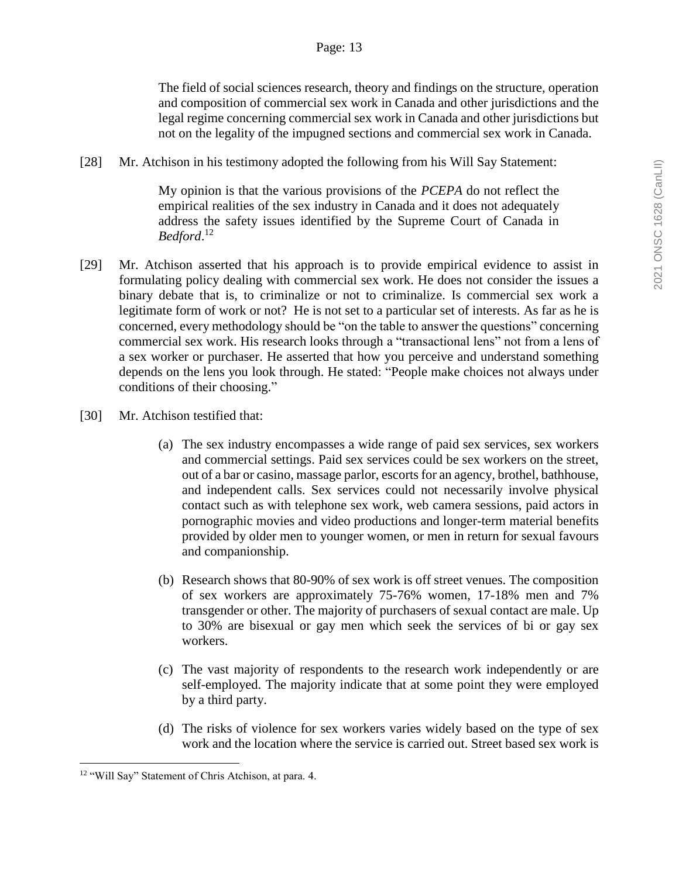### Page: 13

The field of social sciences research, theory and findings on the structure, operation and composition of commercial sex work in Canada and other jurisdictions and the legal regime concerning commercial sex work in Canada and other jurisdictions but not on the legality of the impugned sections and commercial sex work in Canada.

[28] Mr. Atchison in his testimony adopted the following from his Will Say Statement:

My opinion is that the various provisions of the *PCEPA* do not reflect the empirical realities of the sex industry in Canada and it does not adequately address the safety issues identified by the Supreme Court of Canada in *Bedford*. 12

- [29] Mr. Atchison asserted that his approach is to provide empirical evidence to assist in formulating policy dealing with commercial sex work. He does not consider the issues a binary debate that is, to criminalize or not to criminalize. Is commercial sex work a legitimate form of work or not? He is not set to a particular set of interests. As far as he is concerned, every methodology should be "on the table to answer the questions" concerning commercial sex work. His research looks through a "transactional lens" not from a lens of a sex worker or purchaser. He asserted that how you perceive and understand something depends on the lens you look through. He stated: "People make choices not always under conditions of their choosing."
- [30] Mr. Atchison testified that:
	- (a) The sex industry encompasses a wide range of paid sex services, sex workers and commercial settings. Paid sex services could be sex workers on the street, out of a bar or casino, massage parlor, escorts for an agency, brothel, bathhouse, and independent calls. Sex services could not necessarily involve physical contact such as with telephone sex work, web camera sessions, paid actors in pornographic movies and video productions and longer-term material benefits provided by older men to younger women, or men in return for sexual favours and companionship.
	- (b) Research shows that 80-90% of sex work is off street venues. The composition of sex workers are approximately 75-76% women, 17-18% men and 7% transgender or other. The majority of purchasers of sexual contact are male. Up to 30% are bisexual or gay men which seek the services of bi or gay sex workers.
	- (c) The vast majority of respondents to the research work independently or are self-employed. The majority indicate that at some point they were employed by a third party.
	- (d) The risks of violence for sex workers varies widely based on the type of sex work and the location where the service is carried out. Street based sex work is

<sup>&</sup>lt;sup>12</sup> "Will Say" Statement of Chris Atchison, at para. 4.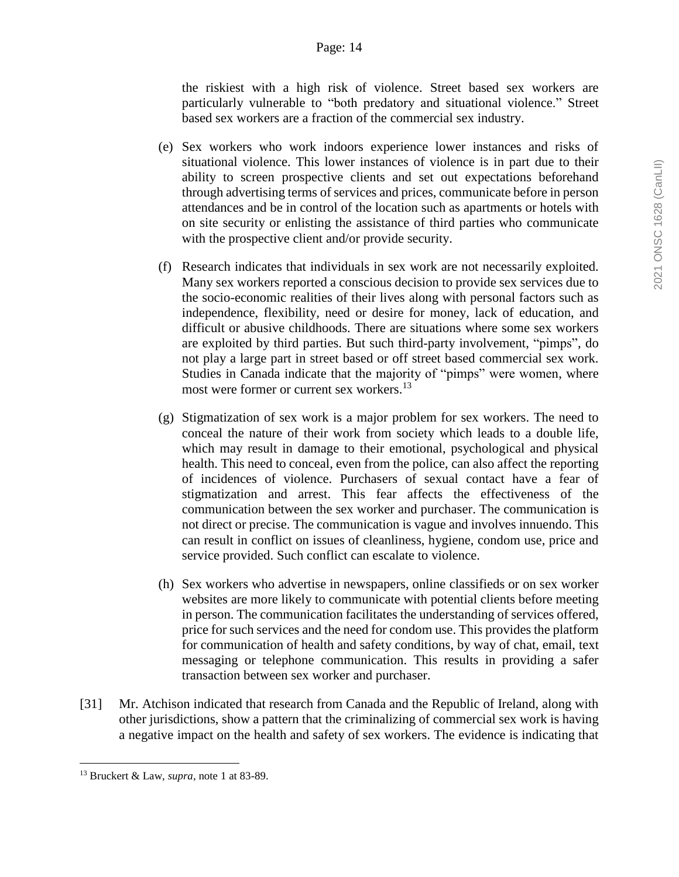#### Page: 14

the riskiest with a high risk of violence. Street based sex workers are particularly vulnerable to "both predatory and situational violence." Street based sex workers are a fraction of the commercial sex industry.

- (e) Sex workers who work indoors experience lower instances and risks of situational violence. This lower instances of violence is in part due to their ability to screen prospective clients and set out expectations beforehand through advertising terms of services and prices, communicate before in person attendances and be in control of the location such as apartments or hotels with on site security or enlisting the assistance of third parties who communicate with the prospective client and/or provide security.
- (f) Research indicates that individuals in sex work are not necessarily exploited. Many sex workers reported a conscious decision to provide sex services due to the socio-economic realities of their lives along with personal factors such as independence, flexibility, need or desire for money, lack of education, and difficult or abusive childhoods. There are situations where some sex workers are exploited by third parties. But such third-party involvement, "pimps", do not play a large part in street based or off street based commercial sex work. Studies in Canada indicate that the majority of "pimps" were women, where most were former or current sex workers.<sup>13</sup>
- (g) Stigmatization of sex work is a major problem for sex workers. The need to conceal the nature of their work from society which leads to a double life, which may result in damage to their emotional, psychological and physical health. This need to conceal, even from the police, can also affect the reporting of incidences of violence. Purchasers of sexual contact have a fear of stigmatization and arrest. This fear affects the effectiveness of the communication between the sex worker and purchaser. The communication is not direct or precise. The communication is vague and involves innuendo. This can result in conflict on issues of cleanliness, hygiene, condom use, price and service provided. Such conflict can escalate to violence.
- (h) Sex workers who advertise in newspapers, online classifieds or on sex worker websites are more likely to communicate with potential clients before meeting in person. The communication facilitates the understanding of services offered, price for such services and the need for condom use. This provides the platform for communication of health and safety conditions, by way of chat, email, text messaging or telephone communication. This results in providing a safer transaction between sex worker and purchaser.
- [31] Mr. Atchison indicated that research from Canada and the Republic of Ireland, along with other jurisdictions, show a pattern that the criminalizing of commercial sex work is having a negative impact on the health and safety of sex workers. The evidence is indicating that

<sup>13</sup> Bruckert & Law, *supra*, note 1 at 83-89.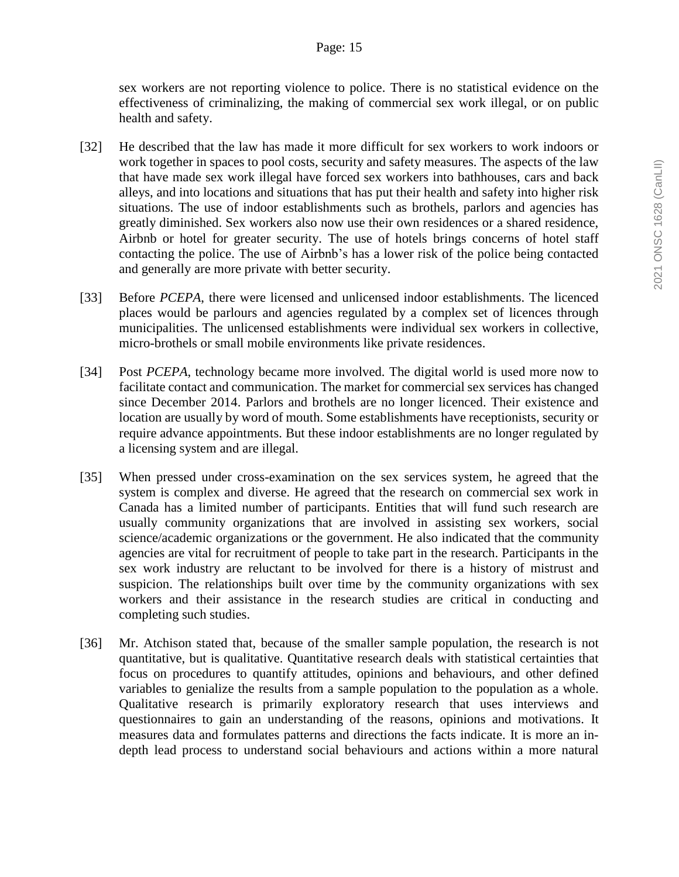sex workers are not reporting violence to police. There is no statistical evidence on the effectiveness of criminalizing, the making of commercial sex work illegal, or on public health and safety.

- [32] He described that the law has made it more difficult for sex workers to work indoors or work together in spaces to pool costs, security and safety measures. The aspects of the law that have made sex work illegal have forced sex workers into bathhouses, cars and back alleys, and into locations and situations that has put their health and safety into higher risk situations. The use of indoor establishments such as brothels, parlors and agencies has greatly diminished. Sex workers also now use their own residences or a shared residence, Airbnb or hotel for greater security. The use of hotels brings concerns of hotel staff contacting the police. The use of Airbnb's has a lower risk of the police being contacted and generally are more private with better security.
- [33] Before *PCEPA*, there were licensed and unlicensed indoor establishments. The licenced places would be parlours and agencies regulated by a complex set of licences through municipalities. The unlicensed establishments were individual sex workers in collective, micro-brothels or small mobile environments like private residences.
- [34] Post *PCEPA*, technology became more involved. The digital world is used more now to facilitate contact and communication. The market for commercial sex services has changed since December 2014. Parlors and brothels are no longer licenced. Their existence and location are usually by word of mouth. Some establishments have receptionists, security or require advance appointments. But these indoor establishments are no longer regulated by a licensing system and are illegal.
- [35] When pressed under cross-examination on the sex services system, he agreed that the system is complex and diverse. He agreed that the research on commercial sex work in Canada has a limited number of participants. Entities that will fund such research are usually community organizations that are involved in assisting sex workers, social science/academic organizations or the government. He also indicated that the community agencies are vital for recruitment of people to take part in the research. Participants in the sex work industry are reluctant to be involved for there is a history of mistrust and suspicion. The relationships built over time by the community organizations with sex workers and their assistance in the research studies are critical in conducting and completing such studies.
- [36] Mr. Atchison stated that, because of the smaller sample population, the research is not quantitative, but is qualitative. Quantitative research deals with statistical certainties that focus on procedures to quantify attitudes, opinions and behaviours, and other defined variables to genialize the results from a sample population to the population as a whole. Qualitative research is primarily exploratory research that uses interviews and questionnaires to gain an understanding of the reasons, opinions and motivations. It measures data and formulates patterns and directions the facts indicate. It is more an indepth lead process to understand social behaviours and actions within a more natural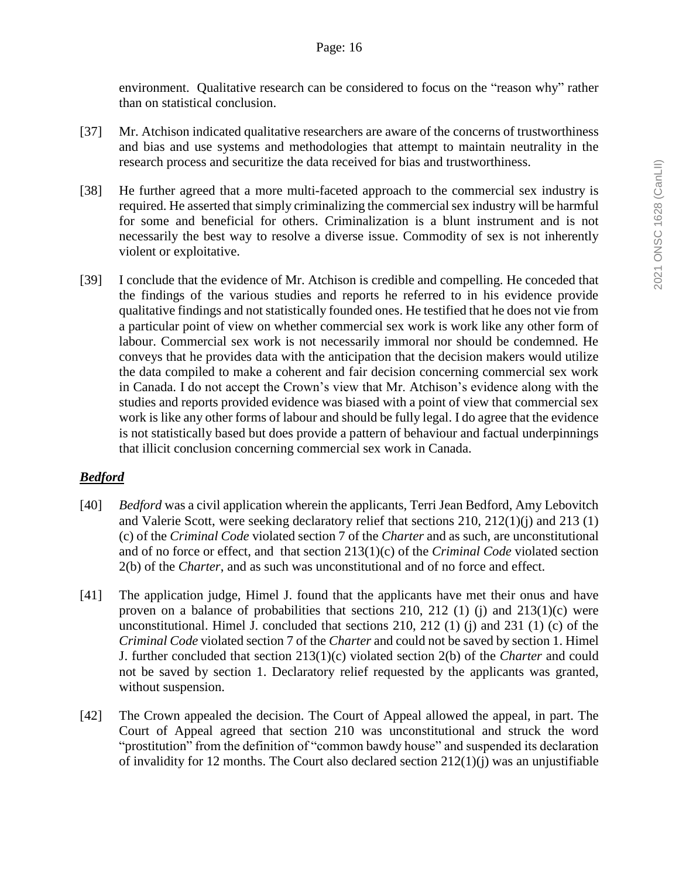environment. Qualitative research can be considered to focus on the "reason why" rather than on statistical conclusion.

- [37] Mr. Atchison indicated qualitative researchers are aware of the concerns of trustworthiness and bias and use systems and methodologies that attempt to maintain neutrality in the research process and securitize the data received for bias and trustworthiness.
- [38] He further agreed that a more multi-faceted approach to the commercial sex industry is required. He asserted that simply criminalizing the commercial sex industry will be harmful for some and beneficial for others. Criminalization is a blunt instrument and is not necessarily the best way to resolve a diverse issue. Commodity of sex is not inherently violent or exploitative.
- [39] I conclude that the evidence of Mr. Atchison is credible and compelling. He conceded that the findings of the various studies and reports he referred to in his evidence provide qualitative findings and not statistically founded ones. He testified that he does not vie from a particular point of view on whether commercial sex work is work like any other form of labour. Commercial sex work is not necessarily immoral nor should be condemned. He conveys that he provides data with the anticipation that the decision makers would utilize the data compiled to make a coherent and fair decision concerning commercial sex work in Canada. I do not accept the Crown's view that Mr. Atchison's evidence along with the studies and reports provided evidence was biased with a point of view that commercial sex work is like any other forms of labour and should be fully legal. I do agree that the evidence is not statistically based but does provide a pattern of behaviour and factual underpinnings that illicit conclusion concerning commercial sex work in Canada.

# *Bedford*

- [40] *Bedford* was a civil application wherein the applicants, Terri Jean Bedford, Amy Lebovitch and Valerie Scott, were seeking declaratory relief that sections 210, 212(1)(j) and 213 (1) (c) of the *Criminal Code* violated section 7 of the *Charter* and as such, are unconstitutional and of no force or effect, and that section 213(1)(c) of the *Criminal Code* violated section 2(b) of the *Charter*, and as such was unconstitutional and of no force and effect.
- [41] The application judge, Himel J. found that the applicants have met their onus and have proven on a balance of probabilities that sections 210, 212 (1) (j) and  $213(1)(c)$  were unconstitutional. Himel J. concluded that sections 210, 212 (1) (j) and 231 (1) (c) of the *Criminal Code* violated section 7 of the *Charter* and could not be saved by section 1. Himel J. further concluded that section 213(1)(c) violated section 2(b) of the *Charter* and could not be saved by section 1. Declaratory relief requested by the applicants was granted, without suspension.
- [42] The Crown appealed the decision. The Court of Appeal allowed the appeal, in part. The Court of Appeal agreed that section 210 was unconstitutional and struck the word "prostitution" from the definition of "common bawdy house" and suspended its declaration of invalidity for 12 months. The Court also declared section 212(1)(j) was an unjustifiable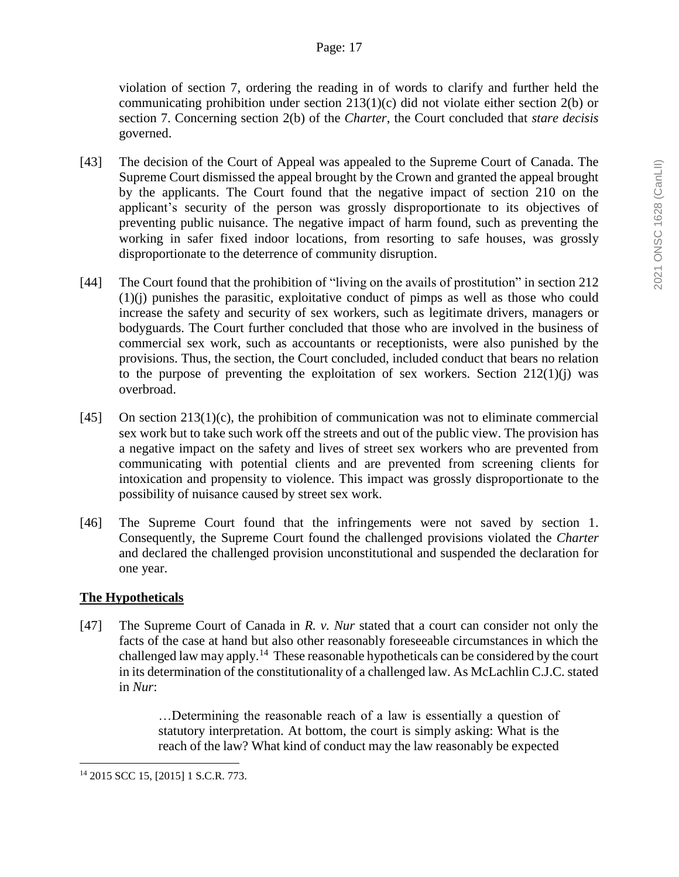violation of section 7, ordering the reading in of words to clarify and further held the communicating prohibition under section 213(1)(c) did not violate either section 2(b) or section 7. Concerning section 2(b) of the *Charter*, the Court concluded that *stare decisis* governed.

- [43] The decision of the Court of Appeal was appealed to the Supreme Court of Canada. The Supreme Court dismissed the appeal brought by the Crown and granted the appeal brought by the applicants. The Court found that the negative impact of section 210 on the applicant's security of the person was grossly disproportionate to its objectives of preventing public nuisance. The negative impact of harm found, such as preventing the working in safer fixed indoor locations, from resorting to safe houses, was grossly disproportionate to the deterrence of community disruption.
- [44] The Court found that the prohibition of "living on the avails of prostitution" in section 212 (1)(j) punishes the parasitic, exploitative conduct of pimps as well as those who could increase the safety and security of sex workers, such as legitimate drivers, managers or bodyguards. The Court further concluded that those who are involved in the business of commercial sex work, such as accountants or receptionists, were also punished by the provisions. Thus, the section, the Court concluded, included conduct that bears no relation to the purpose of preventing the exploitation of sex workers. Section  $212(1)(i)$  was overbroad.
- [45] On section 213(1)(c), the prohibition of communication was not to eliminate commercial sex work but to take such work off the streets and out of the public view. The provision has a negative impact on the safety and lives of street sex workers who are prevented from communicating with potential clients and are prevented from screening clients for intoxication and propensity to violence. This impact was grossly disproportionate to the possibility of nuisance caused by street sex work.
- [46] The Supreme Court found that the infringements were not saved by section 1. Consequently, the Supreme Court found the challenged provisions violated the *Charter* and declared the challenged provision unconstitutional and suspended the declaration for one year.

# **The Hypotheticals**

 $\overline{a}$ 

[47] The Supreme Court of Canada in *R. v. Nur* stated that a court can consider not only the facts of the case at hand but also other reasonably foreseeable circumstances in which the challenged law may apply.<sup>14</sup> These reasonable hypotheticals can be considered by the court in its determination of the constitutionality of a challenged law. As McLachlin C.J.C. stated in *Nur*:

> …Determining the reasonable reach of a law is essentially a question of statutory interpretation. At bottom, the court is simply asking: What is the reach of the law? What kind of conduct may the law reasonably be expected

<sup>14</sup> 2015 SCC 15, [2015] 1 S.C.R. 773.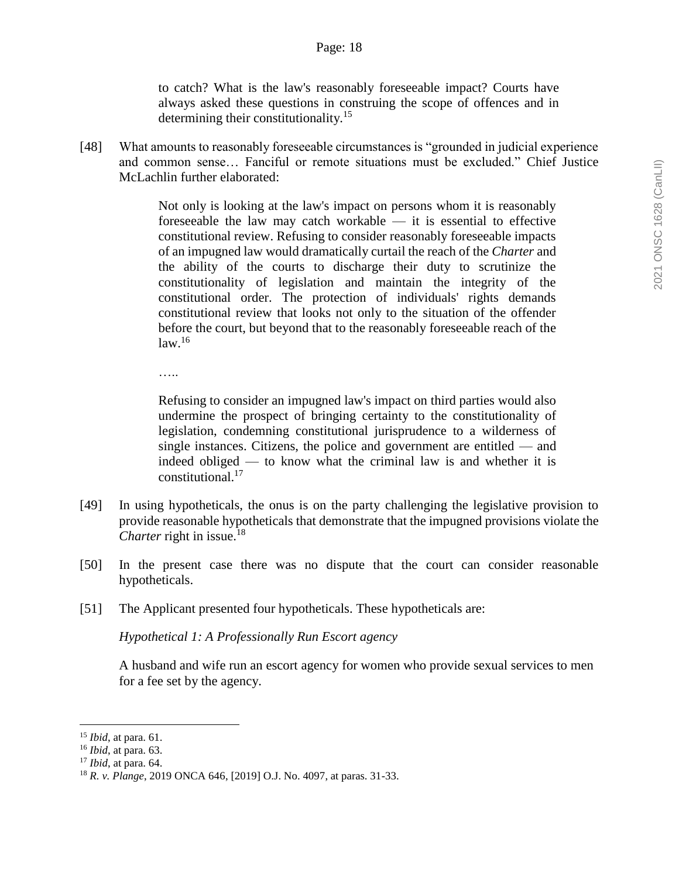to catch? What is the law's reasonably foreseeable impact? Courts have always asked these questions in construing the scope of offences and in determining their constitutionality.<sup>15</sup>

[48] What amounts to reasonably foreseeable circumstances is "grounded in judicial experience and common sense… Fanciful or remote situations must be excluded." Chief Justice McLachlin further elaborated:

> Not only is looking at the law's impact on persons whom it is reasonably foreseeable the law may catch workable — it is essential to effective constitutional review. Refusing to consider reasonably foreseeable impacts of an impugned law would dramatically curtail the reach of the *Charter* and the ability of the courts to discharge their duty to scrutinize the constitutionality of legislation and maintain the integrity of the constitutional order. The protection of individuals' rights demands constitutional review that looks not only to the situation of the offender before the court, but beyond that to the reasonably foreseeable reach of the  $law.<sup>16</sup>$

….

Refusing to consider an impugned law's impact on third parties would also undermine the prospect of bringing certainty to the constitutionality of legislation, condemning constitutional jurisprudence to a wilderness of single instances. Citizens, the police and government are entitled — and indeed obliged — to know what the criminal law is and whether it is constitutional.<sup>17</sup>

- [49] In using hypotheticals, the onus is on the party challenging the legislative provision to provide reasonable hypotheticals that demonstrate that the impugned provisions violate the *Charter* right in issue.<sup>18</sup>
- [50] In the present case there was no dispute that the court can consider reasonable hypotheticals.
- [51] The Applicant presented four hypotheticals. These hypotheticals are:

*Hypothetical 1: A Professionally Run Escort agency*

A husband and wife run an escort agency for women who provide sexual services to men for a fee set by the agency.

<sup>15</sup> *Ibid*, at para. 61.

<sup>16</sup> *Ibid*, at para. 63.

<sup>17</sup> *Ibid*, at para. 64.

<sup>18</sup> *R. v. Plange*, 2019 ONCA 646, [2019] O.J. No. 4097, at paras. 31-33.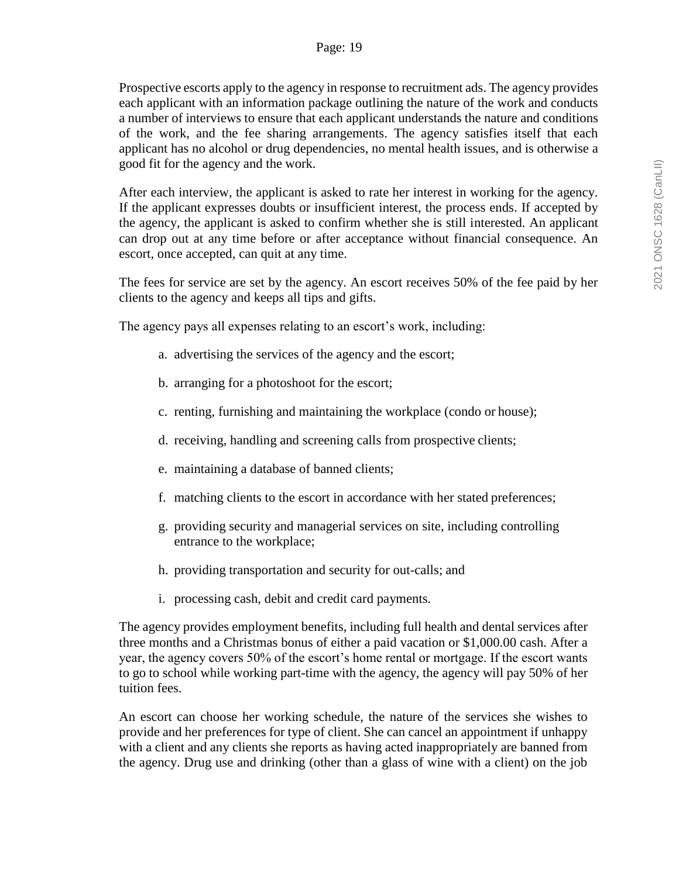Prospective escorts apply to the agency in response to recruitment ads. The agency provides each applicant with an information package outlining the nature of the work and conducts a number of interviews to ensure that each applicant understands the nature and conditions of the work, and the fee sharing arrangements. The agency satisfies itself that each applicant has no alcohol or drug dependencies, no mental health issues, and is otherwise a good fit for the agency and the work.

After each interview, the applicant is asked to rate her interest in working for the agency. If the applicant expresses doubts or insufficient interest, the process ends. If accepted by the agency, the applicant is asked to confirm whether she is still interested. An applicant can drop out at any time before or after acceptance without financial consequence. An escort, once accepted, can quit at any time.

The fees for service are set by the agency. An escort receives 50% of the fee paid by her clients to the agency and keeps all tips and gifts.

The agency pays all expenses relating to an escort's work, including:

- a. advertising the services of the agency and the escort;
- b. arranging for a photoshoot for the escort;
- c. renting, furnishing and maintaining the workplace (condo or house);
- d. receiving, handling and screening calls from prospective clients;
- e. maintaining a database of banned clients;
- f. matching clients to the escort in accordance with her stated preferences;
- g. providing security and managerial services on site, including controlling entrance to the workplace;
- h. providing transportation and security for out-calls; and
- i. processing cash, debit and credit card payments.

The agency provides employment benefits, including full health and dental services after three months and a Christmas bonus of either a paid vacation or \$1,000.00 cash. After a year, the agency covers 50% of the escort's home rental or mortgage. If the escort wants to go to school while working part-time with the agency, the agency will pay 50% of her tuition fees.

An escort can choose her working schedule, the nature of the services she wishes to provide and her preferences for type of client. She can cancel an appointment if unhappy with a client and any clients she reports as having acted inappropriately are banned from the agency. Drug use and drinking (other than a glass of wine with a client) on the job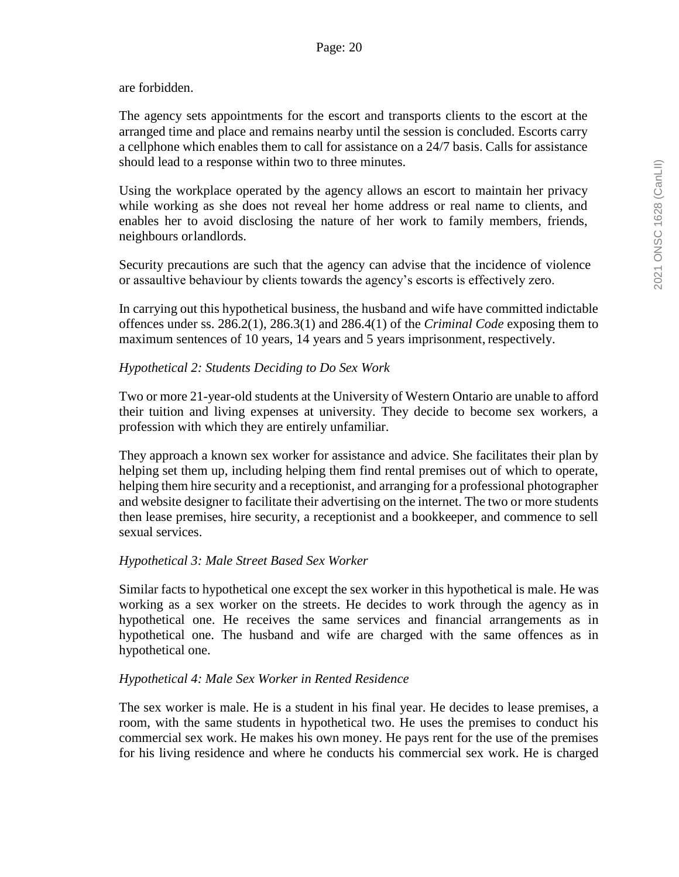#### are forbidden.

The agency sets appointments for the escort and transports clients to the escort at the arranged time and place and remains nearby until the session is concluded. Escorts carry a cellphone which enables them to call for assistance on a 24/7 basis. Calls for assistance should lead to a response within two to three minutes.

Using the workplace operated by the agency allows an escort to maintain her privacy while working as she does not reveal her home address or real name to clients, and enables her to avoid disclosing the nature of her work to family members, friends, neighbours orlandlords.

Security precautions are such that the agency can advise that the incidence of violence or assaultive behaviour by clients towards the agency's escorts is effectively zero.

In carrying out this hypothetical business, the husband and wife have committed indictable offences under ss. 286.2(1), 286.3(1) and 286.4(1) of the *Criminal Code* exposing them to maximum sentences of 10 years, 14 years and 5 years imprisonment, respectively.

### *Hypothetical 2: Students Deciding to Do Sex Work*

Two or more 21-year-old students at the University of Western Ontario are unable to afford their tuition and living expenses at university. They decide to become sex workers, a profession with which they are entirely unfamiliar.

They approach a known sex worker for assistance and advice. She facilitates their plan by helping set them up, including helping them find rental premises out of which to operate, helping them hire security and a receptionist, and arranging for a professional photographer and website designer to facilitate their advertising on the internet. The two or more students then lease premises, hire security, a receptionist and a bookkeeper, and commence to sell sexual services.

# *Hypothetical 3: Male Street Based Sex Worker*

Similar facts to hypothetical one except the sex worker in this hypothetical is male. He was working as a sex worker on the streets. He decides to work through the agency as in hypothetical one. He receives the same services and financial arrangements as in hypothetical one. The husband and wife are charged with the same offences as in hypothetical one.

# *Hypothetical 4: Male Sex Worker in Rented Residence*

The sex worker is male. He is a student in his final year. He decides to lease premises, a room, with the same students in hypothetical two. He uses the premises to conduct his commercial sex work. He makes his own money. He pays rent for the use of the premises for his living residence and where he conducts his commercial sex work. He is charged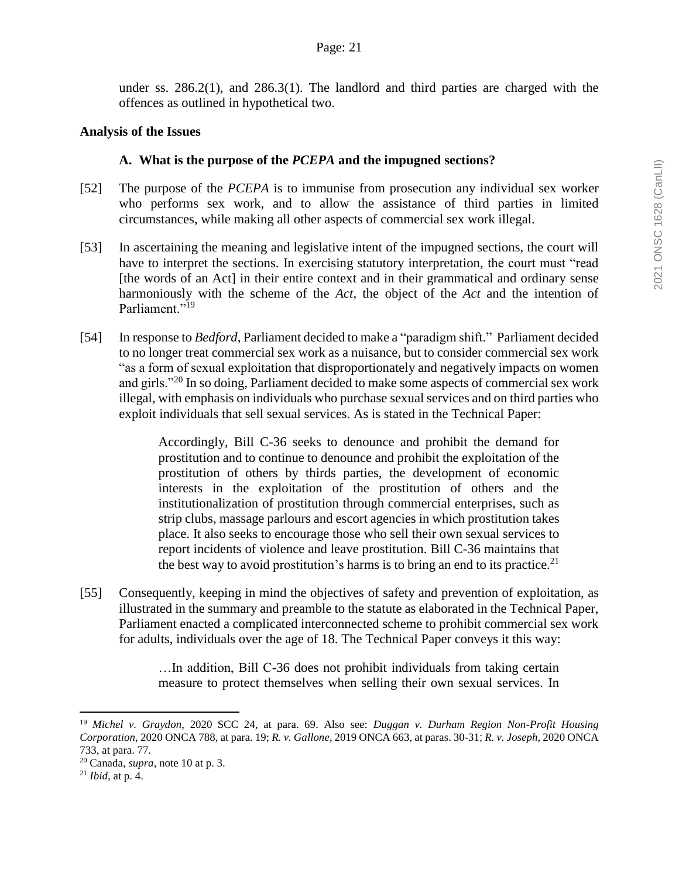under ss. 286.2(1), and 286.3(1). The landlord and third parties are charged with the offences as outlined in hypothetical two.

#### **Analysis of the Issues**

#### **A. What is the purpose of the** *PCEPA* **and the impugned sections?**

- [52] The purpose of the *PCEPA* is to immunise from prosecution any individual sex worker who performs sex work, and to allow the assistance of third parties in limited circumstances, while making all other aspects of commercial sex work illegal.
- [53] In ascertaining the meaning and legislative intent of the impugned sections, the court will have to interpret the sections. In exercising statutory interpretation, the court must "read [the words of an Act] in their entire context and in their grammatical and ordinary sense harmoniously with the scheme of the *Act*, the object of the *Act* and the intention of Parliament."<sup>19</sup>
- [54] In response to *Bedford*, Parliament decided to make a "paradigm shift." Parliament decided to no longer treat commercial sex work as a nuisance, but to consider commercial sex work "as a form of sexual exploitation that disproportionately and negatively impacts on women and girls."<sup>20</sup> In so doing, Parliament decided to make some aspects of commercial sex work illegal, with emphasis on individuals who purchase sexual services and on third parties who exploit individuals that sell sexual services. As is stated in the Technical Paper:

Accordingly, Bill C-36 seeks to denounce and prohibit the demand for prostitution and to continue to denounce and prohibit the exploitation of the prostitution of others by thirds parties, the development of economic interests in the exploitation of the prostitution of others and the institutionalization of prostitution through commercial enterprises, such as strip clubs, massage parlours and escort agencies in which prostitution takes place. It also seeks to encourage those who sell their own sexual services to report incidents of violence and leave prostitution. Bill C-36 maintains that the best way to avoid prostitution's harms is to bring an end to its practice.<sup>21</sup>

[55] Consequently, keeping in mind the objectives of safety and prevention of exploitation, as illustrated in the summary and preamble to the statute as elaborated in the Technical Paper, Parliament enacted a complicated interconnected scheme to prohibit commercial sex work for adults, individuals over the age of 18. The Technical Paper conveys it this way:

> …In addition, Bill C-36 does not prohibit individuals from taking certain measure to protect themselves when selling their own sexual services. In

<sup>19</sup> *Michel v. Graydon*, 2020 SCC 24, at para. 69. Also see: *Duggan v. Durham Region Non-Profit Housing Corporation*, 2020 ONCA 788, at para. 19; *R. v. Gallone*, 2019 ONCA 663, at paras. 30-31; *R. v. Joseph*, 2020 ONCA 733, at para. 77.

<sup>20</sup> Canada, *supra*, note 10 at p. 3.

<sup>21</sup> *Ibid*, at p. 4.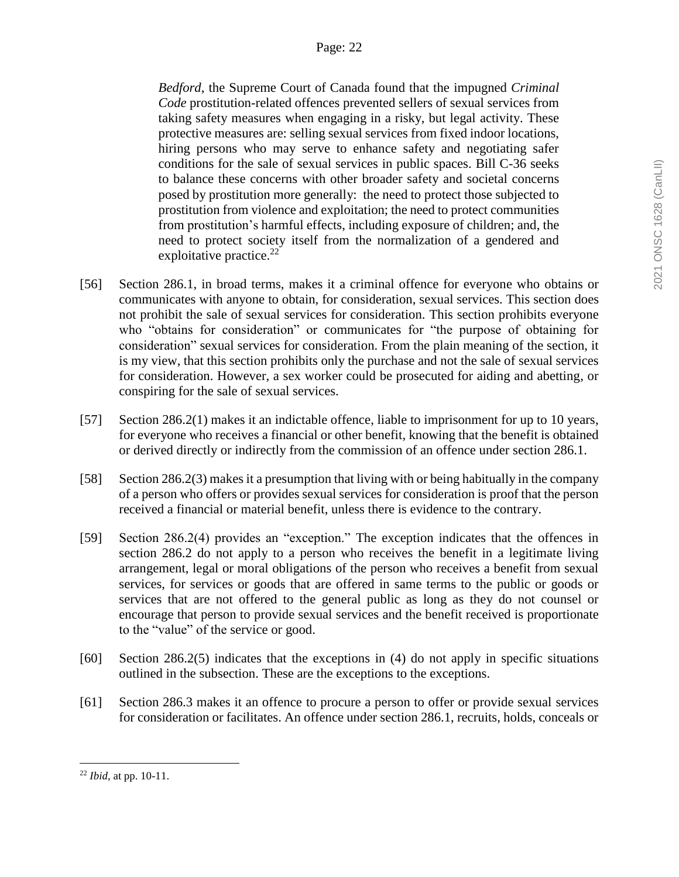*Bedford*, the Supreme Court of Canada found that the impugned *Criminal Code* prostitution-related offences prevented sellers of sexual services from taking safety measures when engaging in a risky, but legal activity. These protective measures are: selling sexual services from fixed indoor locations, hiring persons who may serve to enhance safety and negotiating safer conditions for the sale of sexual services in public spaces. Bill C-36 seeks to balance these concerns with other broader safety and societal concerns posed by prostitution more generally: the need to protect those subjected to prostitution from violence and exploitation; the need to protect communities from prostitution's harmful effects, including exposure of children; and, the need to protect society itself from the normalization of a gendered and exploitative practice. $^{22}$ 

- [56] Section 286.1, in broad terms, makes it a criminal offence for everyone who obtains or communicates with anyone to obtain, for consideration, sexual services. This section does not prohibit the sale of sexual services for consideration. This section prohibits everyone who "obtains for consideration" or communicates for "the purpose of obtaining for consideration" sexual services for consideration. From the plain meaning of the section, it is my view, that this section prohibits only the purchase and not the sale of sexual services for consideration. However, a sex worker could be prosecuted for aiding and abetting, or conspiring for the sale of sexual services.
- [57] Section 286.2(1) makes it an indictable offence, liable to imprisonment for up to 10 years, for everyone who receives a financial or other benefit, knowing that the benefit is obtained or derived directly or indirectly from the commission of an offence under section 286.1.
- [58] Section 286.2(3) makes it a presumption that living with or being habitually in the company of a person who offers or provides sexual services for consideration is proof that the person received a financial or material benefit, unless there is evidence to the contrary.
- [59] Section 286.2(4) provides an "exception." The exception indicates that the offences in section 286.2 do not apply to a person who receives the benefit in a legitimate living arrangement, legal or moral obligations of the person who receives a benefit from sexual services, for services or goods that are offered in same terms to the public or goods or services that are not offered to the general public as long as they do not counsel or encourage that person to provide sexual services and the benefit received is proportionate to the "value" of the service or good.
- [60] Section 286.2(5) indicates that the exceptions in (4) do not apply in specific situations outlined in the subsection. These are the exceptions to the exceptions.
- [61] Section 286.3 makes it an offence to procure a person to offer or provide sexual services for consideration or facilitates. An offence under section 286.1, recruits, holds, conceals or

<sup>22</sup> *Ibid*, at pp. 10-11.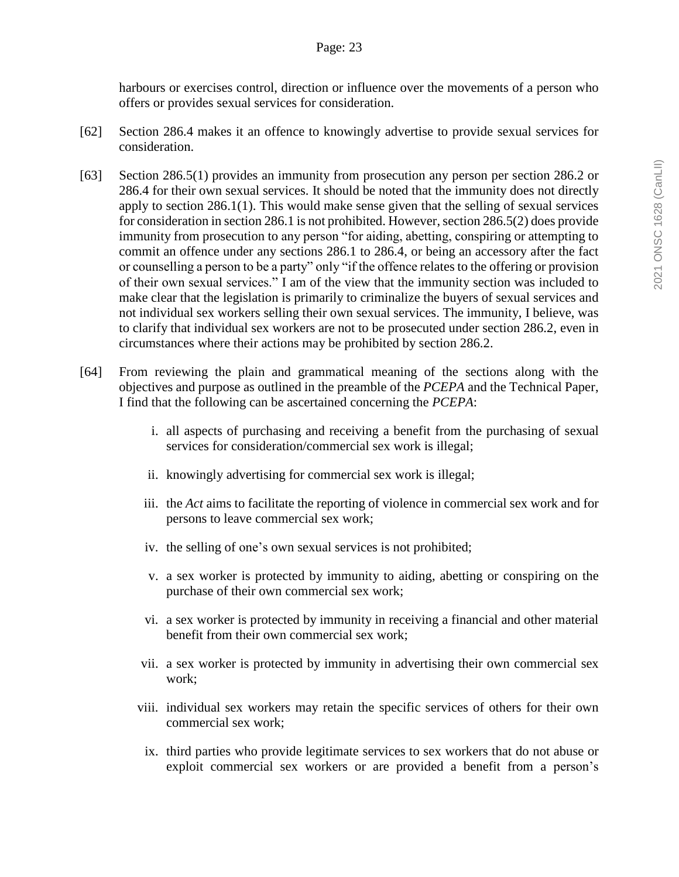harbours or exercises control, direction or influence over the movements of a person who offers or provides sexual services for consideration.

- [62] Section 286.4 makes it an offence to knowingly advertise to provide sexual services for consideration.
- [63] Section 286.5(1) provides an immunity from prosecution any person per section 286.2 or 286.4 for their own sexual services. It should be noted that the immunity does not directly apply to section 286.1(1). This would make sense given that the selling of sexual services for consideration in section 286.1 is not prohibited. However, section 286.5(2) does provide immunity from prosecution to any person "for aiding, abetting, conspiring or attempting to commit an offence under any sections 286.1 to 286.4, or being an accessory after the fact or counselling a person to be a party" only "if the offence relates to the offering or provision of their own sexual services." I am of the view that the immunity section was included to make clear that the legislation is primarily to criminalize the buyers of sexual services and not individual sex workers selling their own sexual services. The immunity, I believe, was to clarify that individual sex workers are not to be prosecuted under section 286.2, even in circumstances where their actions may be prohibited by section 286.2.
- [64] From reviewing the plain and grammatical meaning of the sections along with the objectives and purpose as outlined in the preamble of the *PCEPA* and the Technical Paper, I find that the following can be ascertained concerning the *PCEPA*:
	- i. all aspects of purchasing and receiving a benefit from the purchasing of sexual services for consideration/commercial sex work is illegal;
	- ii. knowingly advertising for commercial sex work is illegal;
	- iii. the *Act* aims to facilitate the reporting of violence in commercial sex work and for persons to leave commercial sex work;
	- iv. the selling of one's own sexual services is not prohibited;
	- v. a sex worker is protected by immunity to aiding, abetting or conspiring on the purchase of their own commercial sex work;
	- vi. a sex worker is protected by immunity in receiving a financial and other material benefit from their own commercial sex work;
	- vii. a sex worker is protected by immunity in advertising their own commercial sex work;
	- viii. individual sex workers may retain the specific services of others for their own commercial sex work;
	- ix. third parties who provide legitimate services to sex workers that do not abuse or exploit commercial sex workers or are provided a benefit from a person's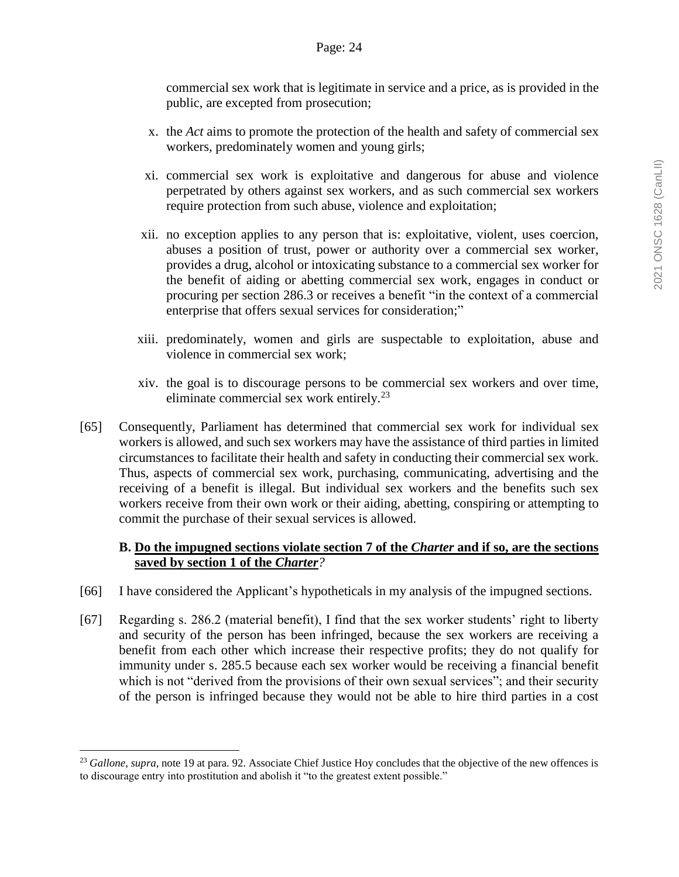commercial sex work that is legitimate in service and a price, as is provided in the public, are excepted from prosecution;

- x. the *Act* aims to promote the protection of the health and safety of commercial sex workers, predominately women and young girls;
- xi. commercial sex work is exploitative and dangerous for abuse and violence perpetrated by others against sex workers, and as such commercial sex workers require protection from such abuse, violence and exploitation;
- xii. no exception applies to any person that is: exploitative, violent, uses coercion, abuses a position of trust, power or authority over a commercial sex worker, provides a drug, alcohol or intoxicating substance to a commercial sex worker for the benefit of aiding or abetting commercial sex work, engages in conduct or procuring per section 286.3 or receives a benefit "in the context of a commercial enterprise that offers sexual services for consideration;"
- xiii. predominately, women and girls are suspectable to exploitation, abuse and violence in commercial sex work;
- xiv. the goal is to discourage persons to be commercial sex workers and over time, eliminate commercial sex work entirely.<sup>23</sup>
- [65] Consequently, Parliament has determined that commercial sex work for individual sex workers is allowed, and such sex workers may have the assistance of third parties in limited circumstances to facilitate their health and safety in conducting their commercial sex work. Thus, aspects of commercial sex work, purchasing, communicating, advertising and the receiving of a benefit is illegal. But individual sex workers and the benefits such sex workers receive from their own work or their aiding, abetting, conspiring or attempting to commit the purchase of their sexual services is allowed.

# **B. Do the impugned sections violate section 7 of the** *Charter* **and if so, are the sections saved by section 1 of the** *Charter?*

- [66] I have considered the Applicant's hypotheticals in my analysis of the impugned sections.
- [67] Regarding s. 286.2 (material benefit), I find that the sex worker students' right to liberty and security of the person has been infringed, because the sex workers are receiving a benefit from each other which increase their respective profits; they do not qualify for immunity under s. 285.5 because each sex worker would be receiving a financial benefit which is not "derived from the provisions of their own sexual services"; and their security of the person is infringed because they would not be able to hire third parties in a cost

<sup>&</sup>lt;sup>23</sup> Gallone, *supra*, note 19 at para. 92. Associate Chief Justice Hoy concludes that the objective of the new offences is to discourage entry into prostitution and abolish it "to the greatest extent possible."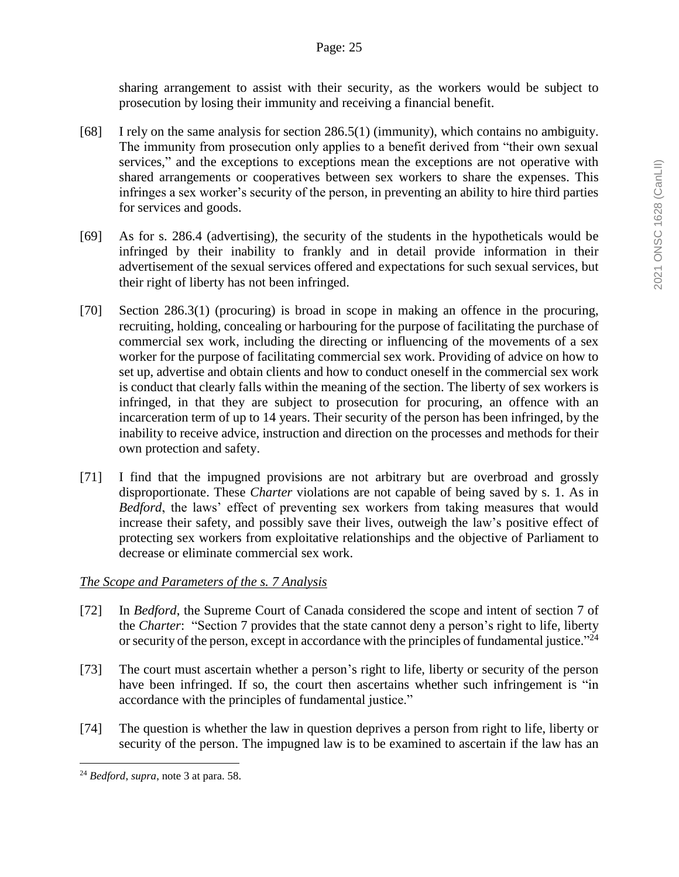sharing arrangement to assist with their security, as the workers would be subject to prosecution by losing their immunity and receiving a financial benefit.

- [68] I rely on the same analysis for section 286.5(1) (immunity), which contains no ambiguity. The immunity from prosecution only applies to a benefit derived from "their own sexual services," and the exceptions to exceptions mean the exceptions are not operative with shared arrangements or cooperatives between sex workers to share the expenses. This infringes a sex worker's security of the person, in preventing an ability to hire third parties for services and goods.
- [69] As for s. 286.4 (advertising), the security of the students in the hypotheticals would be infringed by their inability to frankly and in detail provide information in their advertisement of the sexual services offered and expectations for such sexual services, but their right of liberty has not been infringed.
- [70] Section 286.3(1) (procuring) is broad in scope in making an offence in the procuring, recruiting, holding, concealing or harbouring for the purpose of facilitating the purchase of commercial sex work, including the directing or influencing of the movements of a sex worker for the purpose of facilitating commercial sex work. Providing of advice on how to set up, advertise and obtain clients and how to conduct oneself in the commercial sex work is conduct that clearly falls within the meaning of the section. The liberty of sex workers is infringed, in that they are subject to prosecution for procuring, an offence with an incarceration term of up to 14 years. Their security of the person has been infringed, by the inability to receive advice, instruction and direction on the processes and methods for their own protection and safety.
- [71] I find that the impugned provisions are not arbitrary but are overbroad and grossly disproportionate. These *Charter* violations are not capable of being saved by s. 1. As in *Bedford*, the laws' effect of preventing sex workers from taking measures that would increase their safety, and possibly save their lives, outweigh the law's positive effect of protecting sex workers from exploitative relationships and the objective of Parliament to decrease or eliminate commercial sex work.

# *The Scope and Parameters of the s. 7 Analysis*

- [72] In *Bedford*, the Supreme Court of Canada considered the scope and intent of section 7 of the *Charter*: "Section 7 provides that the state cannot deny a person's right to life, liberty or security of the person, except in accordance with the principles of fundamental justice."<sup>24</sup>
- [73] The court must ascertain whether a person's right to life, liberty or security of the person have been infringed. If so, the court then ascertains whether such infringement is "in accordance with the principles of fundamental justice."
- [74] The question is whether the law in question deprives a person from right to life, liberty or security of the person. The impugned law is to be examined to ascertain if the law has an

<sup>24</sup> *Bedford*, *supra*, note 3 at para. 58.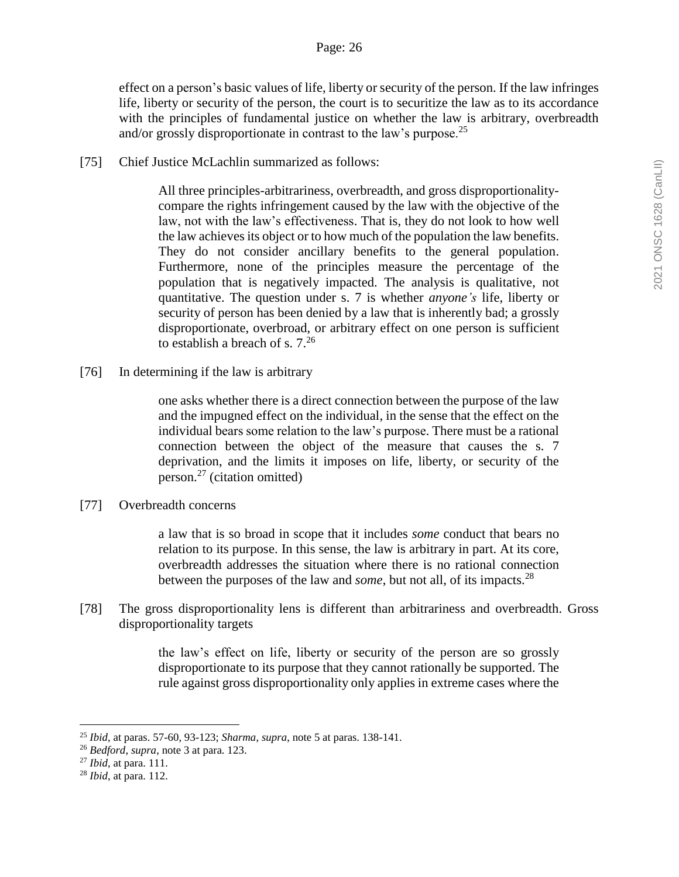effect on a person's basic values of life, liberty or security of the person. If the law infringes life, liberty or security of the person, the court is to securitize the law as to its accordance with the principles of fundamental justice on whether the law is arbitrary, overbreadth and/or grossly disproportionate in contrast to the law's purpose.<sup>25</sup>

[75] Chief Justice McLachlin summarized as follows:

All three principles-arbitrariness, overbreadth, and gross disproportionalitycompare the rights infringement caused by the law with the objective of the law, not with the law's effectiveness. That is, they do not look to how well the law achieves its object or to how much of the population the law benefits. They do not consider ancillary benefits to the general population. Furthermore, none of the principles measure the percentage of the population that is negatively impacted. The analysis is qualitative, not quantitative. The question under s. 7 is whether *anyone's* life, liberty or security of person has been denied by a law that is inherently bad; a grossly disproportionate, overbroad, or arbitrary effect on one person is sufficient to establish a breach of s.  $7.^{26}$ 

[76] In determining if the law is arbitrary

one asks whether there is a direct connection between the purpose of the law and the impugned effect on the individual, in the sense that the effect on the individual bears some relation to the law's purpose. There must be a rational connection between the object of the measure that causes the s. 7 deprivation, and the limits it imposes on life, liberty, or security of the person.<sup>27</sup> (citation omitted)

[77] Overbreadth concerns

a law that is so broad in scope that it includes *some* conduct that bears no relation to its purpose. In this sense, the law is arbitrary in part. At its core, overbreadth addresses the situation where there is no rational connection between the purposes of the law and *some*, but not all, of its impacts.<sup>28</sup>

[78] The gross disproportionality lens is different than arbitrariness and overbreadth. Gross disproportionality targets

> the law's effect on life, liberty or security of the person are so grossly disproportionate to its purpose that they cannot rationally be supported. The rule against gross disproportionality only applies in extreme cases where the

<sup>25</sup> *Ibid*, at paras. 57-60, 93-123; *Sharma*, *supra*, note 5 at paras. 138-141.

<sup>26</sup> *Bedford*, *supra*, note 3 at para. 123.

<sup>27</sup> *Ibid*, at para. 111.

<sup>28</sup> *Ibid*, at para. 112.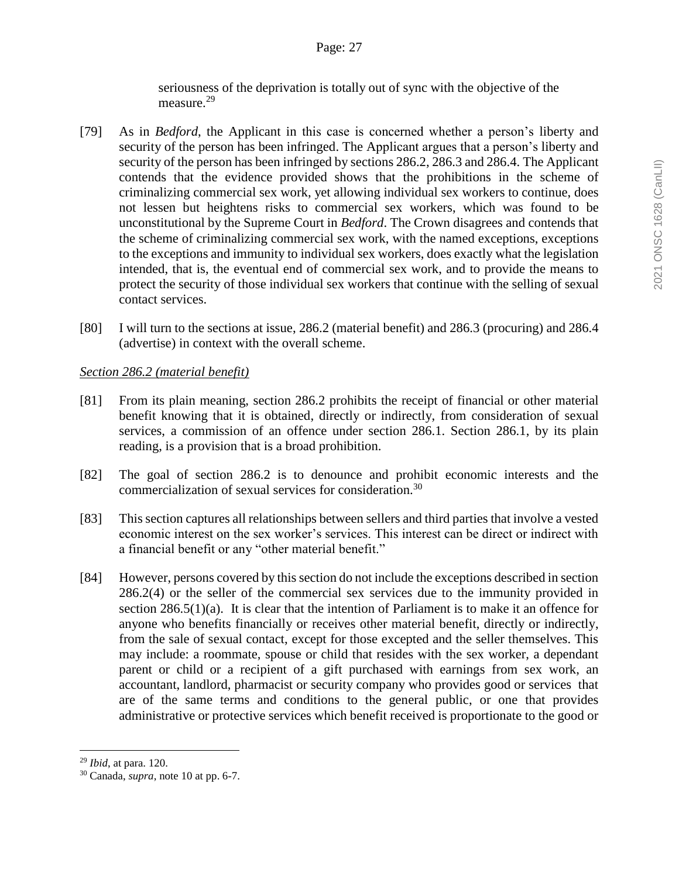seriousness of the deprivation is totally out of sync with the objective of the measure.<sup>29</sup>

- [79] As in *Bedford*, the Applicant in this case is concerned whether a person's liberty and security of the person has been infringed. The Applicant argues that a person's liberty and security of the person has been infringed by sections 286.2, 286.3 and 286.4. The Applicant contends that the evidence provided shows that the prohibitions in the scheme of criminalizing commercial sex work, yet allowing individual sex workers to continue, does not lessen but heightens risks to commercial sex workers, which was found to be unconstitutional by the Supreme Court in *Bedford*. The Crown disagrees and contends that the scheme of criminalizing commercial sex work, with the named exceptions, exceptions to the exceptions and immunity to individual sex workers, does exactly what the legislation intended, that is, the eventual end of commercial sex work, and to provide the means to protect the security of those individual sex workers that continue with the selling of sexual contact services.
- [80] I will turn to the sections at issue, 286.2 (material benefit) and 286.3 (procuring) and 286.4 (advertise) in context with the overall scheme.

# *Section 286.2 (material benefit)*

- [81] From its plain meaning, section 286.2 prohibits the receipt of financial or other material benefit knowing that it is obtained, directly or indirectly, from consideration of sexual services, a commission of an offence under section 286.1. Section 286.1, by its plain reading, is a provision that is a broad prohibition.
- [82] The goal of section 286.2 is to denounce and prohibit economic interests and the commercialization of sexual services for consideration.<sup>30</sup>
- [83] This section captures all relationships between sellers and third parties that involve a vested economic interest on the sex worker's services. This interest can be direct or indirect with a financial benefit or any "other material benefit."
- [84] However, persons covered by this section do not include the exceptions described in section 286.2(4) or the seller of the commercial sex services due to the immunity provided in section  $286.5(1)(a)$ . It is clear that the intention of Parliament is to make it an offence for anyone who benefits financially or receives other material benefit, directly or indirectly, from the sale of sexual contact, except for those excepted and the seller themselves. This may include: a roommate, spouse or child that resides with the sex worker, a dependant parent or child or a recipient of a gift purchased with earnings from sex work, an accountant, landlord, pharmacist or security company who provides good or services that are of the same terms and conditions to the general public, or one that provides administrative or protective services which benefit received is proportionate to the good or

<sup>29</sup> *Ibid*, at para. 120.

<sup>30</sup> Canada, *supra*, note 10 at pp. 6-7.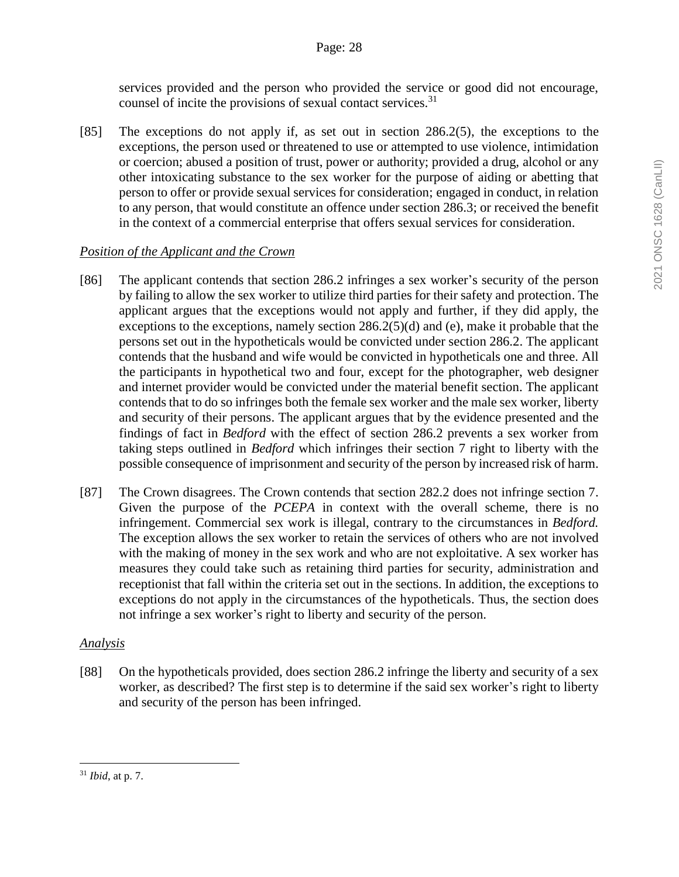services provided and the person who provided the service or good did not encourage, counsel of incite the provisions of sexual contact services.<sup>31</sup>

[85] The exceptions do not apply if, as set out in section 286.2(5), the exceptions to the exceptions, the person used or threatened to use or attempted to use violence, intimidation or coercion; abused a position of trust, power or authority; provided a drug, alcohol or any other intoxicating substance to the sex worker for the purpose of aiding or abetting that person to offer or provide sexual services for consideration; engaged in conduct, in relation to any person, that would constitute an offence under section 286.3; or received the benefit in the context of a commercial enterprise that offers sexual services for consideration.

# *Position of the Applicant and the Crown*

- [86] The applicant contends that section 286.2 infringes a sex worker's security of the person by failing to allow the sex worker to utilize third parties for their safety and protection. The applicant argues that the exceptions would not apply and further, if they did apply, the exceptions to the exceptions, namely section  $286.2(5)(d)$  and (e), make it probable that the persons set out in the hypotheticals would be convicted under section 286.2. The applicant contends that the husband and wife would be convicted in hypotheticals one and three. All the participants in hypothetical two and four, except for the photographer, web designer and internet provider would be convicted under the material benefit section. The applicant contends that to do so infringes both the female sex worker and the male sex worker, liberty and security of their persons. The applicant argues that by the evidence presented and the findings of fact in *Bedford* with the effect of section 286.2 prevents a sex worker from taking steps outlined in *Bedford* which infringes their section 7 right to liberty with the possible consequence of imprisonment and security of the person by increased risk of harm.
- [87] The Crown disagrees. The Crown contends that section 282.2 does not infringe section 7. Given the purpose of the *PCEPA* in context with the overall scheme, there is no infringement. Commercial sex work is illegal, contrary to the circumstances in *Bedford.*  The exception allows the sex worker to retain the services of others who are not involved with the making of money in the sex work and who are not exploitative. A sex worker has measures they could take such as retaining third parties for security, administration and receptionist that fall within the criteria set out in the sections. In addition, the exceptions to exceptions do not apply in the circumstances of the hypotheticals. Thus, the section does not infringe a sex worker's right to liberty and security of the person.

# *Analysis*

[88] On the hypotheticals provided, does section 286.2 infringe the liberty and security of a sex worker, as described? The first step is to determine if the said sex worker's right to liberty and security of the person has been infringed.

 $\overline{a}$ <sup>31</sup> *Ibid*, at p. 7.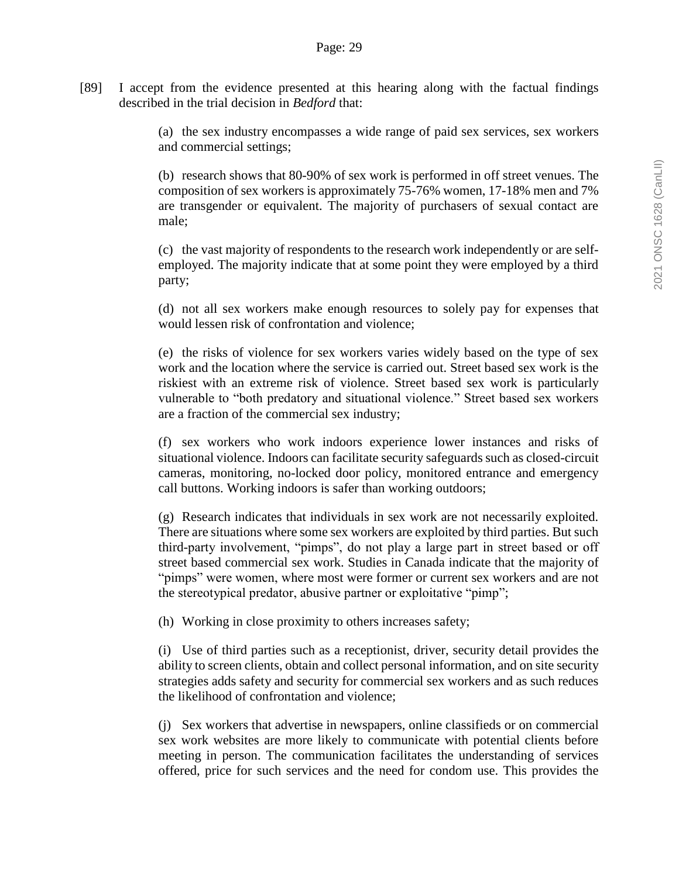[89] I accept from the evidence presented at this hearing along with the factual findings described in the trial decision in *Bedford* that:

> (a) the sex industry encompasses a wide range of paid sex services, sex workers and commercial settings;

> (b) research shows that 80-90% of sex work is performed in off street venues. The composition of sex workers is approximately 75-76% women, 17-18% men and 7% are transgender or equivalent. The majority of purchasers of sexual contact are male;

> (c) the vast majority of respondents to the research work independently or are selfemployed. The majority indicate that at some point they were employed by a third party;

> (d) not all sex workers make enough resources to solely pay for expenses that would lessen risk of confrontation and violence;

> (e) the risks of violence for sex workers varies widely based on the type of sex work and the location where the service is carried out. Street based sex work is the riskiest with an extreme risk of violence. Street based sex work is particularly vulnerable to "both predatory and situational violence." Street based sex workers are a fraction of the commercial sex industry;

> (f) sex workers who work indoors experience lower instances and risks of situational violence. Indoors can facilitate security safeguards such as closed-circuit cameras, monitoring, no-locked door policy, monitored entrance and emergency call buttons. Working indoors is safer than working outdoors;

> (g) Research indicates that individuals in sex work are not necessarily exploited. There are situations where some sex workers are exploited by third parties. But such third-party involvement, "pimps", do not play a large part in street based or off street based commercial sex work. Studies in Canada indicate that the majority of "pimps" were women, where most were former or current sex workers and are not the stereotypical predator, abusive partner or exploitative "pimp";

(h) Working in close proximity to others increases safety;

(i) Use of third parties such as a receptionist, driver, security detail provides the ability to screen clients, obtain and collect personal information, and on site security strategies adds safety and security for commercial sex workers and as such reduces the likelihood of confrontation and violence;

(j) Sex workers that advertise in newspapers, online classifieds or on commercial sex work websites are more likely to communicate with potential clients before meeting in person. The communication facilitates the understanding of services offered, price for such services and the need for condom use. This provides the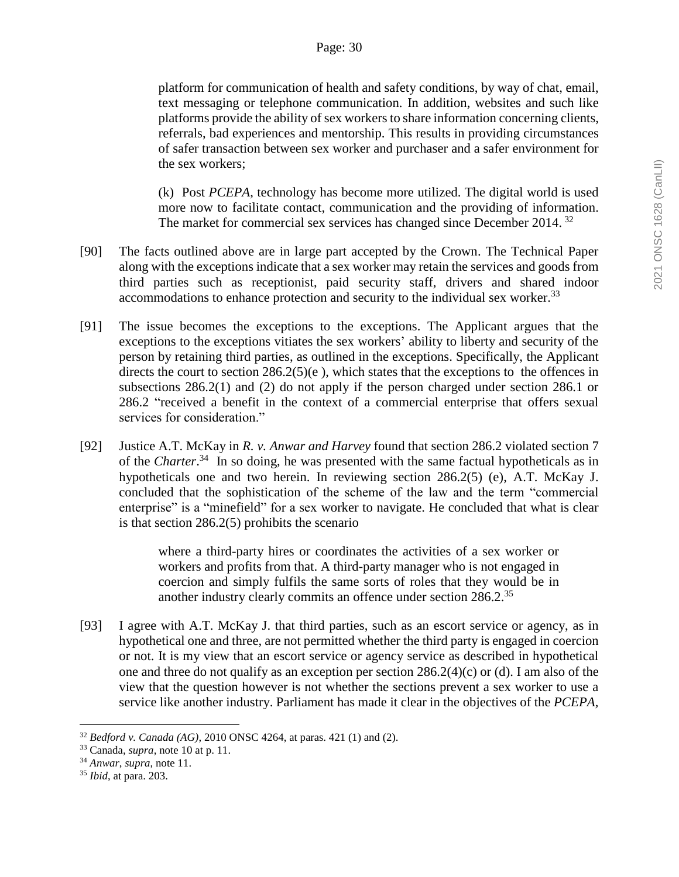platform for communication of health and safety conditions, by way of chat, email, text messaging or telephone communication. In addition, websites and such like platforms provide the ability of sex workers to share information concerning clients, referrals, bad experiences and mentorship. This results in providing circumstances of safer transaction between sex worker and purchaser and a safer environment for the sex workers;

(k) Post *PCEPA*, technology has become more utilized. The digital world is used more now to facilitate contact, communication and the providing of information. The market for commercial sex services has changed since December 2014.<sup>32</sup>

- [90] The facts outlined above are in large part accepted by the Crown. The Technical Paper along with the exceptions indicate that a sex worker may retain the services and goods from third parties such as receptionist, paid security staff, drivers and shared indoor accommodations to enhance protection and security to the individual sex worker.<sup>33</sup>
- [91] The issue becomes the exceptions to the exceptions. The Applicant argues that the exceptions to the exceptions vitiates the sex workers' ability to liberty and security of the person by retaining third parties, as outlined in the exceptions. Specifically, the Applicant directs the court to section  $286.2(5)(e)$ , which states that the exceptions to the offences in subsections 286.2(1) and (2) do not apply if the person charged under section 286.1 or 286.2 "received a benefit in the context of a commercial enterprise that offers sexual services for consideration."
- [92] Justice A.T. McKay in *R. v. Anwar and Harvey* found that section 286.2 violated section 7 of the *Charter*. 34 In so doing, he was presented with the same factual hypotheticals as in hypotheticals one and two herein. In reviewing section 286.2(5) (e), A.T. McKay J. concluded that the sophistication of the scheme of the law and the term "commercial enterprise" is a "minefield" for a sex worker to navigate. He concluded that what is clear is that section 286.2(5) prohibits the scenario

where a third-party hires or coordinates the activities of a sex worker or workers and profits from that. A third-party manager who is not engaged in coercion and simply fulfils the same sorts of roles that they would be in another industry clearly commits an offence under section 286.2.<sup>35</sup>

[93] I agree with A.T. McKay J. that third parties, such as an escort service or agency, as in hypothetical one and three, are not permitted whether the third party is engaged in coercion or not. It is my view that an escort service or agency service as described in hypothetical one and three do not qualify as an exception per section 286.2(4)(c) or (d). I am also of the view that the question however is not whether the sections prevent a sex worker to use a service like another industry. Parliament has made it clear in the objectives of the *PCEPA,*

<sup>32</sup> *Bedford v. Canada (AG)*, 2010 ONSC 4264, at paras. 421 (1) and (2).

<sup>33</sup> Canada, *supra*, note 10 at p. 11.

<sup>34</sup> *Anwar*, *supra*, note 11.

<sup>35</sup> *Ibid*, at para. 203.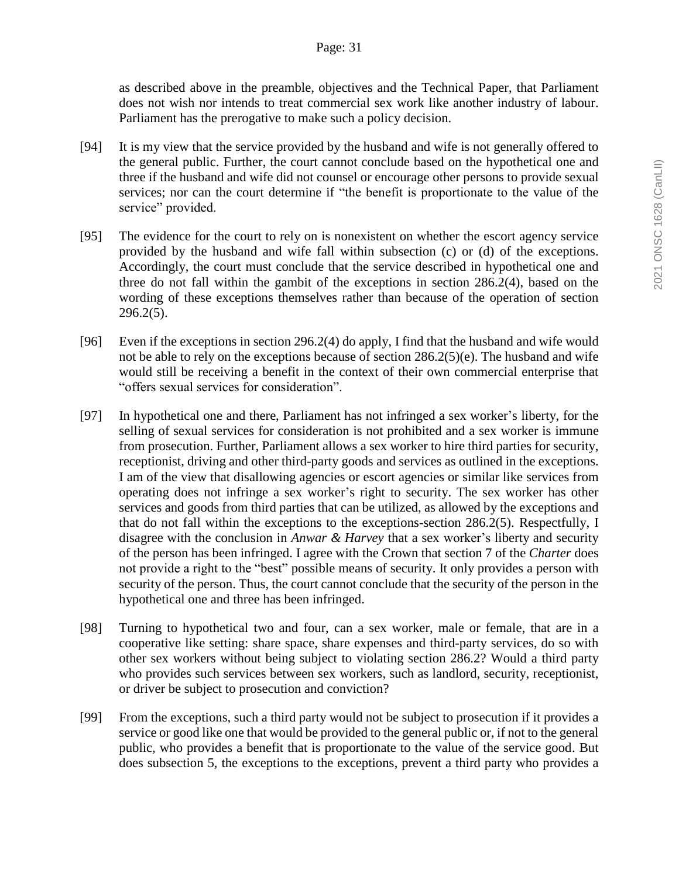as described above in the preamble, objectives and the Technical Paper, that Parliament does not wish nor intends to treat commercial sex work like another industry of labour. Parliament has the prerogative to make such a policy decision.

- [94] It is my view that the service provided by the husband and wife is not generally offered to the general public. Further, the court cannot conclude based on the hypothetical one and three if the husband and wife did not counsel or encourage other persons to provide sexual services; nor can the court determine if "the benefit is proportionate to the value of the service" provided.
- [95] The evidence for the court to rely on is nonexistent on whether the escort agency service provided by the husband and wife fall within subsection (c) or (d) of the exceptions. Accordingly, the court must conclude that the service described in hypothetical one and three do not fall within the gambit of the exceptions in section 286.2(4), based on the wording of these exceptions themselves rather than because of the operation of section 296.2(5).
- [96] Even if the exceptions in section 296.2(4) do apply, I find that the husband and wife would not be able to rely on the exceptions because of section 286.2(5)(e). The husband and wife would still be receiving a benefit in the context of their own commercial enterprise that "offers sexual services for consideration".
- [97] In hypothetical one and there, Parliament has not infringed a sex worker's liberty, for the selling of sexual services for consideration is not prohibited and a sex worker is immune from prosecution. Further, Parliament allows a sex worker to hire third parties for security, receptionist, driving and other third-party goods and services as outlined in the exceptions. I am of the view that disallowing agencies or escort agencies or similar like services from operating does not infringe a sex worker's right to security. The sex worker has other services and goods from third parties that can be utilized, as allowed by the exceptions and that do not fall within the exceptions to the exceptions-section 286.2(5). Respectfully, I disagree with the conclusion in *Anwar & Harvey* that a sex worker's liberty and security of the person has been infringed. I agree with the Crown that section 7 of the *Charter* does not provide a right to the "best" possible means of security. It only provides a person with security of the person. Thus, the court cannot conclude that the security of the person in the hypothetical one and three has been infringed.
- [98] Turning to hypothetical two and four, can a sex worker, male or female, that are in a cooperative like setting: share space, share expenses and third-party services, do so with other sex workers without being subject to violating section 286.2? Would a third party who provides such services between sex workers, such as landlord, security, receptionist, or driver be subject to prosecution and conviction?
- [99] From the exceptions, such a third party would not be subject to prosecution if it provides a service or good like one that would be provided to the general public or, if not to the general public, who provides a benefit that is proportionate to the value of the service good. But does subsection 5, the exceptions to the exceptions, prevent a third party who provides a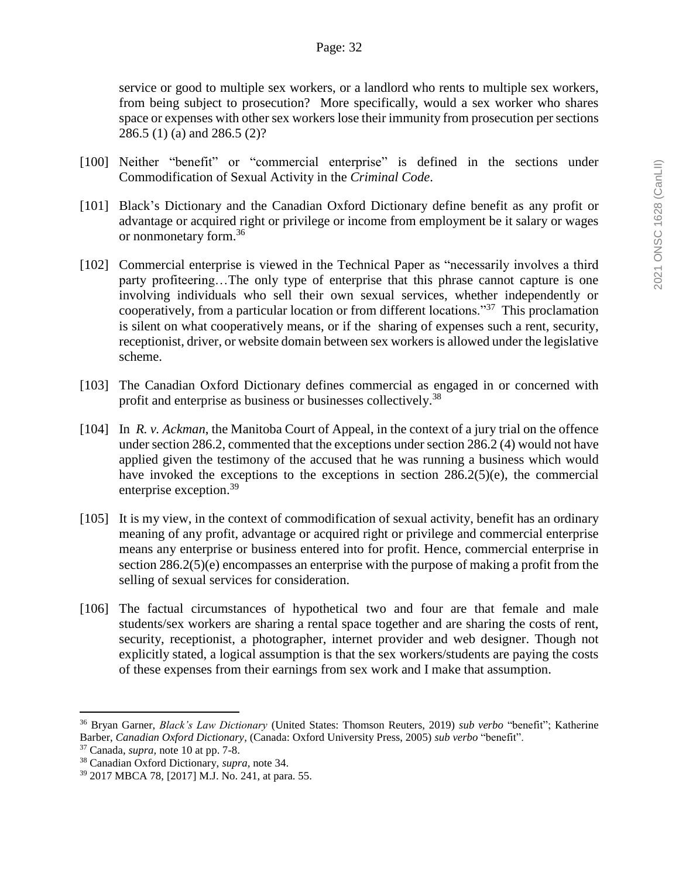service or good to multiple sex workers, or a landlord who rents to multiple sex workers, from being subject to prosecution? More specifically, would a sex worker who shares space or expenses with other sex workers lose their immunity from prosecution per sections 286.5 (1) (a) and 286.5 (2)?

- [100] Neither "benefit" or "commercial enterprise" is defined in the sections under Commodification of Sexual Activity in the *Criminal Code*.
- [101] Black's Dictionary and the Canadian Oxford Dictionary define benefit as any profit or advantage or acquired right or privilege or income from employment be it salary or wages or nonmonetary form.<sup>36</sup>
- [102] Commercial enterprise is viewed in the Technical Paper as "necessarily involves a third party profiteering…The only type of enterprise that this phrase cannot capture is one involving individuals who sell their own sexual services, whether independently or cooperatively, from a particular location or from different locations."<sup>37</sup> This proclamation is silent on what cooperatively means, or if the sharing of expenses such a rent, security, receptionist, driver, or website domain between sex workers is allowed under the legislative scheme.
- [103] The Canadian Oxford Dictionary defines commercial as engaged in or concerned with profit and enterprise as business or businesses collectively.<sup>38</sup>
- [104] In *R. v. Ackman*, the Manitoba Court of Appeal, in the context of a jury trial on the offence under section 286.2, commented that the exceptions under section 286.2 (4) would not have applied given the testimony of the accused that he was running a business which would have invoked the exceptions to the exceptions in section 286.2(5)(e), the commercial enterprise exception.<sup>39</sup>
- [105] It is my view, in the context of commodification of sexual activity, benefit has an ordinary meaning of any profit, advantage or acquired right or privilege and commercial enterprise means any enterprise or business entered into for profit. Hence, commercial enterprise in section 286.2(5)(e) encompasses an enterprise with the purpose of making a profit from the selling of sexual services for consideration.
- [106] The factual circumstances of hypothetical two and four are that female and male students/sex workers are sharing a rental space together and are sharing the costs of rent, security, receptionist, a photographer, internet provider and web designer. Though not explicitly stated, a logical assumption is that the sex workers/students are paying the costs of these expenses from their earnings from sex work and I make that assumption.

<sup>36</sup> Bryan Garner, *Black's Law Dictionary* (United States: Thomson Reuters, 2019) *sub verbo* "benefit"; Katherine Barber, *Canadian Oxford Dictionary*, (Canada: Oxford University Press, 2005) *sub verbo* "benefit".

<sup>37</sup> Canada, *supra,* note 10 at pp. 7-8.

<sup>38</sup> Canadian Oxford Dictionary, *supra,* note 34.

<sup>39</sup> 2017 MBCA 78, [2017] M.J. No. 241, at para. 55.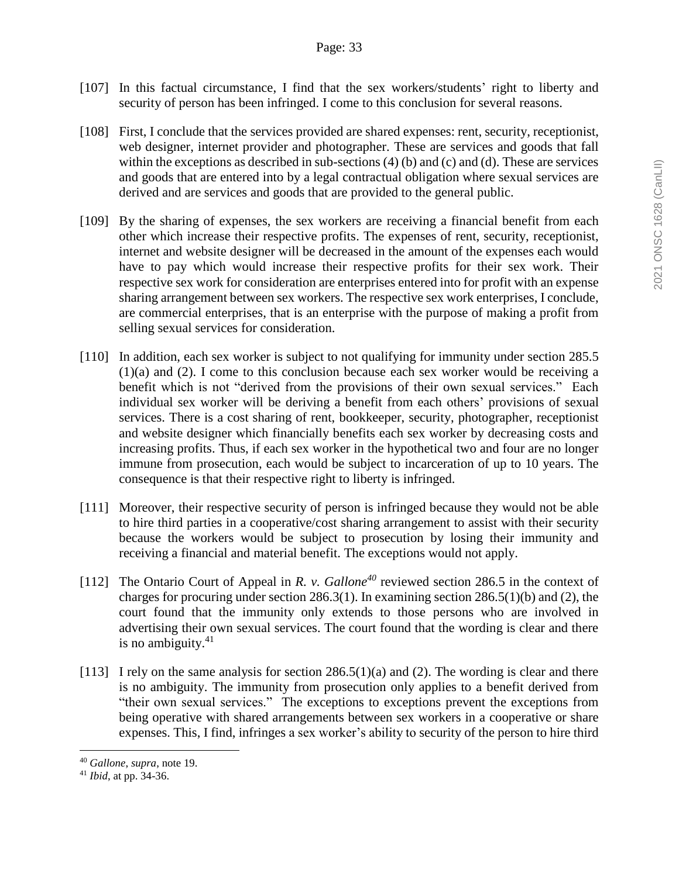- [107] In this factual circumstance, I find that the sex workers/students' right to liberty and security of person has been infringed. I come to this conclusion for several reasons.
- [108] First, I conclude that the services provided are shared expenses: rent, security, receptionist, web designer, internet provider and photographer. These are services and goods that fall within the exceptions as described in sub-sections (4) (b) and (c) and (d). These are services and goods that are entered into by a legal contractual obligation where sexual services are derived and are services and goods that are provided to the general public.
- [109] By the sharing of expenses, the sex workers are receiving a financial benefit from each other which increase their respective profits. The expenses of rent, security, receptionist, internet and website designer will be decreased in the amount of the expenses each would have to pay which would increase their respective profits for their sex work. Their respective sex work for consideration are enterprises entered into for profit with an expense sharing arrangement between sex workers. The respective sex work enterprises, I conclude, are commercial enterprises, that is an enterprise with the purpose of making a profit from selling sexual services for consideration.
- [110] In addition, each sex worker is subject to not qualifying for immunity under section 285.5 (1)(a) and (2). I come to this conclusion because each sex worker would be receiving a benefit which is not "derived from the provisions of their own sexual services." Each individual sex worker will be deriving a benefit from each others' provisions of sexual services. There is a cost sharing of rent, bookkeeper, security, photographer, receptionist and website designer which financially benefits each sex worker by decreasing costs and increasing profits. Thus, if each sex worker in the hypothetical two and four are no longer immune from prosecution, each would be subject to incarceration of up to 10 years. The consequence is that their respective right to liberty is infringed.
- [111] Moreover, their respective security of person is infringed because they would not be able to hire third parties in a cooperative/cost sharing arrangement to assist with their security because the workers would be subject to prosecution by losing their immunity and receiving a financial and material benefit. The exceptions would not apply.
- [112] The Ontario Court of Appeal in *R. v. Gallone<sup>40</sup>* reviewed section 286.5 in the context of charges for procuring under section 286.3(1). In examining section 286.5(1)(b) and (2), the court found that the immunity only extends to those persons who are involved in advertising their own sexual services. The court found that the wording is clear and there is no ambiguity. $41$
- [113] I rely on the same analysis for section  $286.5(1)(a)$  and (2). The wording is clear and there is no ambiguity. The immunity from prosecution only applies to a benefit derived from "their own sexual services." The exceptions to exceptions prevent the exceptions from being operative with shared arrangements between sex workers in a cooperative or share expenses. This, I find, infringes a sex worker's ability to security of the person to hire third

<sup>40</sup> *Gallone*, *supra*, note 19.

<sup>41</sup> *Ibid*, at pp. 34-36.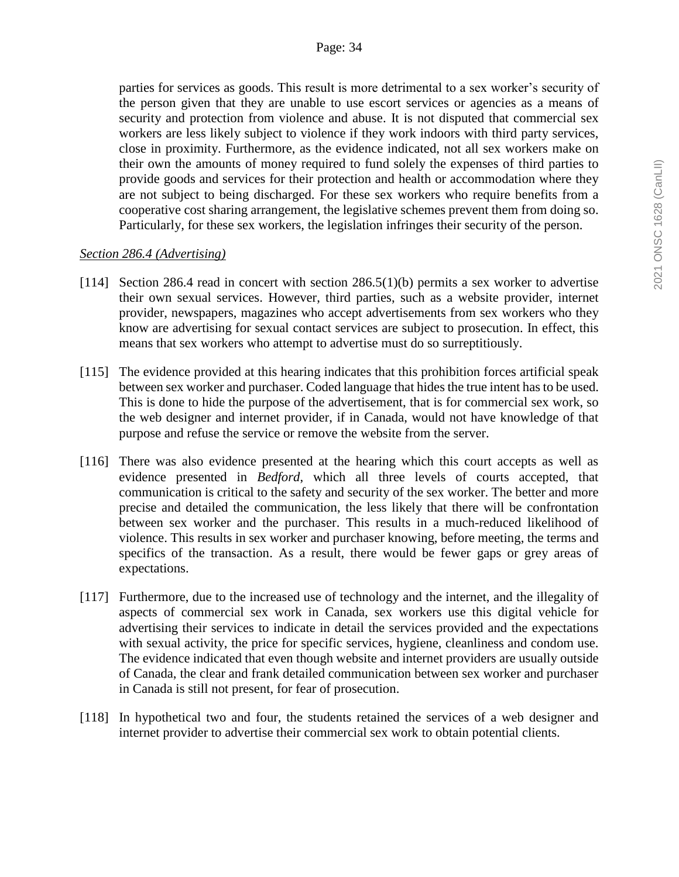parties for services as goods. This result is more detrimental to a sex worker's security of the person given that they are unable to use escort services or agencies as a means of security and protection from violence and abuse. It is not disputed that commercial sex workers are less likely subject to violence if they work indoors with third party services, close in proximity. Furthermore, as the evidence indicated, not all sex workers make on their own the amounts of money required to fund solely the expenses of third parties to provide goods and services for their protection and health or accommodation where they are not subject to being discharged. For these sex workers who require benefits from a cooperative cost sharing arrangement, the legislative schemes prevent them from doing so. Particularly, for these sex workers, the legislation infringes their security of the person.

### *Section 286.4 (Advertising)*

- [114] Section 286.4 read in concert with section 286.5(1)(b) permits a sex worker to advertise their own sexual services. However, third parties, such as a website provider, internet provider, newspapers, magazines who accept advertisements from sex workers who they know are advertising for sexual contact services are subject to prosecution. In effect, this means that sex workers who attempt to advertise must do so surreptitiously.
- [115] The evidence provided at this hearing indicates that this prohibition forces artificial speak between sex worker and purchaser. Coded language that hides the true intent has to be used. This is done to hide the purpose of the advertisement, that is for commercial sex work, so the web designer and internet provider, if in Canada, would not have knowledge of that purpose and refuse the service or remove the website from the server.
- [116] There was also evidence presented at the hearing which this court accepts as well as evidence presented in *Bedford*, which all three levels of courts accepted, that communication is critical to the safety and security of the sex worker. The better and more precise and detailed the communication, the less likely that there will be confrontation between sex worker and the purchaser. This results in a much-reduced likelihood of violence. This results in sex worker and purchaser knowing, before meeting, the terms and specifics of the transaction. As a result, there would be fewer gaps or grey areas of expectations.
- [117] Furthermore, due to the increased use of technology and the internet, and the illegality of aspects of commercial sex work in Canada, sex workers use this digital vehicle for advertising their services to indicate in detail the services provided and the expectations with sexual activity, the price for specific services, hygiene, cleanliness and condom use. The evidence indicated that even though website and internet providers are usually outside of Canada, the clear and frank detailed communication between sex worker and purchaser in Canada is still not present, for fear of prosecution.
- [118] In hypothetical two and four, the students retained the services of a web designer and internet provider to advertise their commercial sex work to obtain potential clients.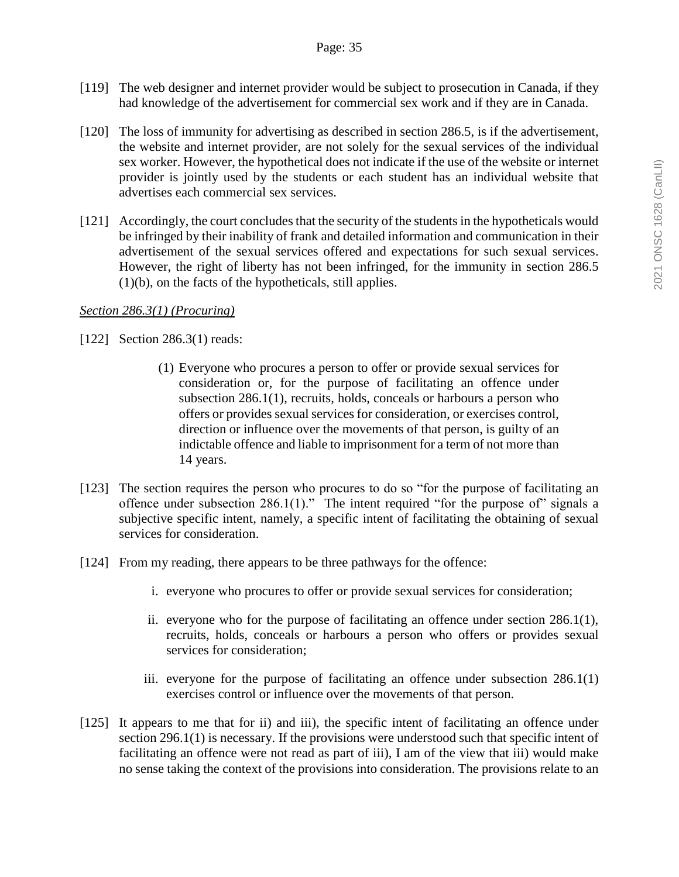- [119] The web designer and internet provider would be subject to prosecution in Canada, if they had knowledge of the advertisement for commercial sex work and if they are in Canada.
- [120] The loss of immunity for advertising as described in section 286.5, is if the advertisement, the website and internet provider, are not solely for the sexual services of the individual sex worker. However, the hypothetical does not indicate if the use of the website or internet provider is jointly used by the students or each student has an individual website that advertises each commercial sex services.
- [121] Accordingly, the court concludes that the security of the students in the hypotheticals would be infringed by their inability of frank and detailed information and communication in their advertisement of the sexual services offered and expectations for such sexual services. However, the right of liberty has not been infringed, for the immunity in section 286.5 (1)(b), on the facts of the hypotheticals, still applies.

### *Section 286.3(1) (Procuring)*

[122] Section 286.3(1) reads:

- (1) Everyone who procures a person to offer or provide sexual services for consideration or, for the purpose of facilitating an offence under subsection 286.1(1), recruits, holds, conceals or harbours a person who offers or provides sexual services for consideration, or exercises control, direction or influence over the movements of that person, is guilty of an indictable offence and liable to imprisonment for a term of not more than 14 years.
- [123] The section requires the person who procures to do so "for the purpose of facilitating an offence under subsection  $286.1(1)$ ." The intent required "for the purpose of" signals a subjective specific intent, namely, a specific intent of facilitating the obtaining of sexual services for consideration.
- [124] From my reading, there appears to be three pathways for the offence:
	- i. everyone who procures to offer or provide sexual services for consideration;
	- ii. everyone who for the purpose of facilitating an offence under section 286.1(1), recruits, holds, conceals or harbours a person who offers or provides sexual services for consideration;
	- iii. everyone for the purpose of facilitating an offence under subsection 286.1(1) exercises control or influence over the movements of that person.
- [125] It appears to me that for ii) and iii), the specific intent of facilitating an offence under section 296.1(1) is necessary. If the provisions were understood such that specific intent of facilitating an offence were not read as part of iii), I am of the view that iii) would make no sense taking the context of the provisions into consideration. The provisions relate to an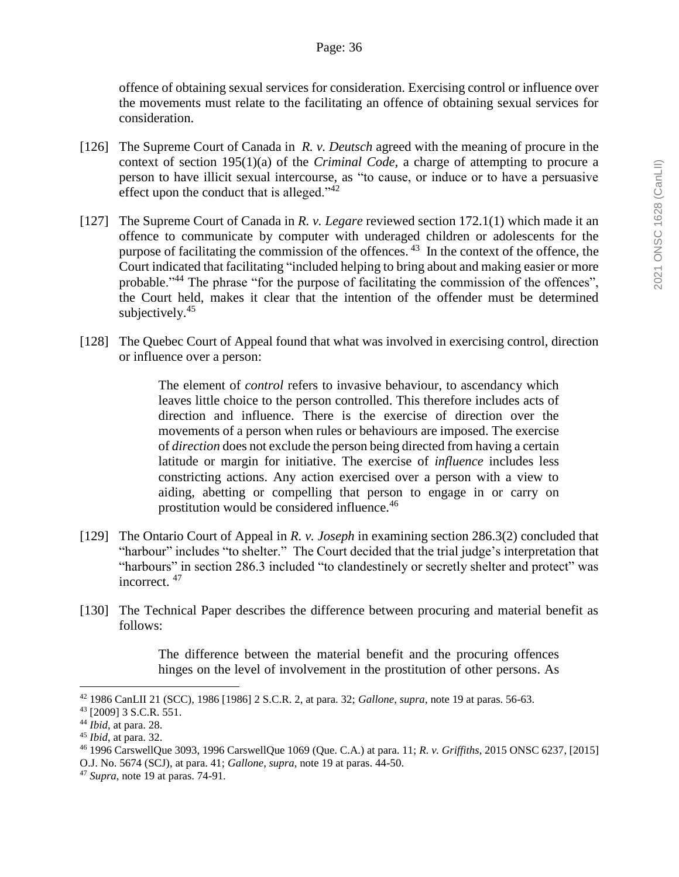offence of obtaining sexual services for consideration. Exercising control or influence over the movements must relate to the facilitating an offence of obtaining sexual services for consideration.

- [126] The Supreme Court of Canada in *R. v. Deutsch* agreed with the meaning of procure in the context of section 195(1)(a) of the *Criminal Code*, a charge of attempting to procure a person to have illicit sexual intercourse, as "to cause, or induce or to have a persuasive effect upon the conduct that is alleged."<sup>42</sup>
- [127] The Supreme Court of Canada in *R. v. Legare* reviewed section 172.1(1) which made it an offence to communicate by computer with underaged children or adolescents for the purpose of facilitating the commission of the offences.<sup>43</sup> In the context of the offence, the Court indicated that facilitating "included helping to bring about and making easier or more probable."<sup>44</sup> The phrase "for the purpose of facilitating the commission of the offences", the Court held, makes it clear that the intention of the offender must be determined subjectively. $45$
- [128] The Quebec Court of Appeal found that what was involved in exercising control, direction or influence over a person:

The element of *control* refers to invasive behaviour, to ascendancy which leaves little choice to the person controlled. This therefore includes acts of direction and influence. There is the exercise of direction over the movements of a person when rules or behaviours are imposed. The exercise of *direction* does not exclude the person being directed from having a certain latitude or margin for initiative. The exercise of *influence* includes less constricting actions. Any action exercised over a person with a view to aiding, abetting or compelling that person to engage in or carry on prostitution would be considered influence.<sup>46</sup>

- [129] The Ontario Court of Appeal in *R. v. Joseph* in examining section 286.3(2) concluded that "harbour" includes "to shelter." The Court decided that the trial judge's interpretation that "harbours" in section 286.3 included "to clandestinely or secretly shelter and protect" was incorrect.  $47$
- [130] The Technical Paper describes the difference between procuring and material benefit as follows:

The difference between the material benefit and the procuring offences hinges on the level of involvement in the prostitution of other persons. As

<sup>42</sup> 1986 CanLII 21 (SCC), 1986 [1986] 2 S.C.R. 2, at para. 32; *Gallone*, *supra*, note 19 at paras. 56-63.

<sup>43</sup> [2009] 3 S.C.R. 551.

<sup>44</sup> *Ibid*, at para. 28.

<sup>45</sup> *Ibid*, at para. 32.

<sup>46</sup> 1996 CarswellQue 3093, 1996 CarswellQue 1069 (Que. C.A.) at para. 11; *R. v. Griffiths*, 2015 ONSC 6237, [2015]

O.J. No. 5674 (SCJ), at para. 41; *Gallone*, *supra*, note 19 at paras. 44-50.

<sup>47</sup> *Supra*, note 19 at paras. 74-91.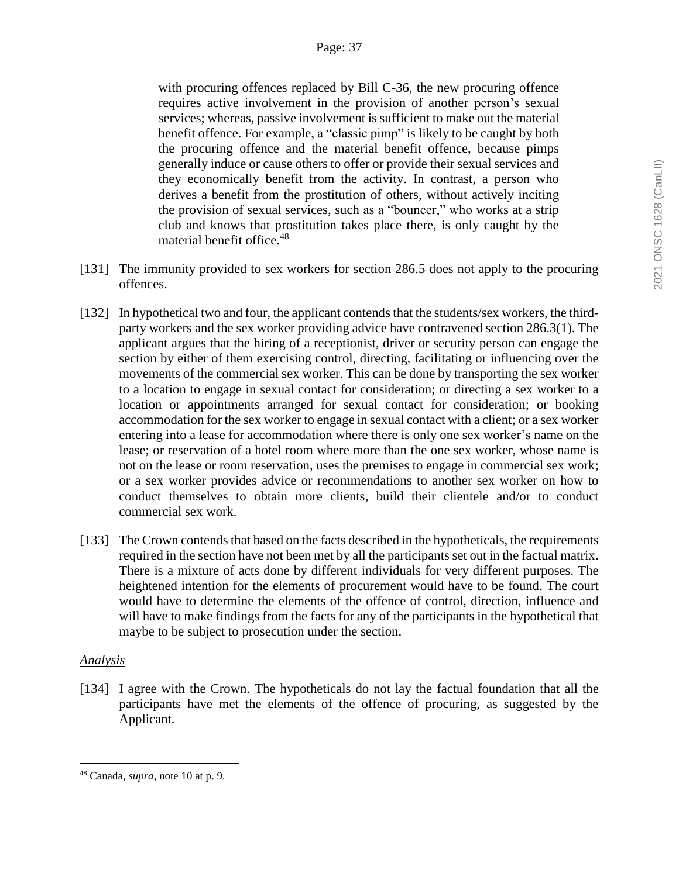with procuring offences replaced by Bill C-36, the new procuring offence requires active involvement in the provision of another person's sexual services; whereas, passive involvement is sufficient to make out the material benefit offence. For example, a "classic pimp" is likely to be caught by both the procuring offence and the material benefit offence, because pimps generally induce or cause others to offer or provide their sexual services and they economically benefit from the activity. In contrast, a person who derives a benefit from the prostitution of others, without actively inciting the provision of sexual services, such as a "bouncer," who works at a strip club and knows that prostitution takes place there, is only caught by the material benefit office. 48

- [131] The immunity provided to sex workers for section 286.5 does not apply to the procuring offences.
- [132] In hypothetical two and four, the applicant contends that the students/sex workers, the thirdparty workers and the sex worker providing advice have contravened section 286.3(1). The applicant argues that the hiring of a receptionist, driver or security person can engage the section by either of them exercising control, directing, facilitating or influencing over the movements of the commercial sex worker. This can be done by transporting the sex worker to a location to engage in sexual contact for consideration; or directing a sex worker to a location or appointments arranged for sexual contact for consideration; or booking accommodation for the sex worker to engage in sexual contact with a client; or a sex worker entering into a lease for accommodation where there is only one sex worker's name on the lease; or reservation of a hotel room where more than the one sex worker, whose name is not on the lease or room reservation, uses the premises to engage in commercial sex work; or a sex worker provides advice or recommendations to another sex worker on how to conduct themselves to obtain more clients, build their clientele and/or to conduct commercial sex work.
- [133] The Crown contends that based on the facts described in the hypotheticals, the requirements required in the section have not been met by all the participants set out in the factual matrix. There is a mixture of acts done by different individuals for very different purposes. The heightened intention for the elements of procurement would have to be found. The court would have to determine the elements of the offence of control, direction, influence and will have to make findings from the facts for any of the participants in the hypothetical that maybe to be subject to prosecution under the section.

# *Analysis*

 $\overline{a}$ 

[134] I agree with the Crown. The hypotheticals do not lay the factual foundation that all the participants have met the elements of the offence of procuring, as suggested by the Applicant.

<sup>48</sup> Canada, *supra*, note 10 at p. 9.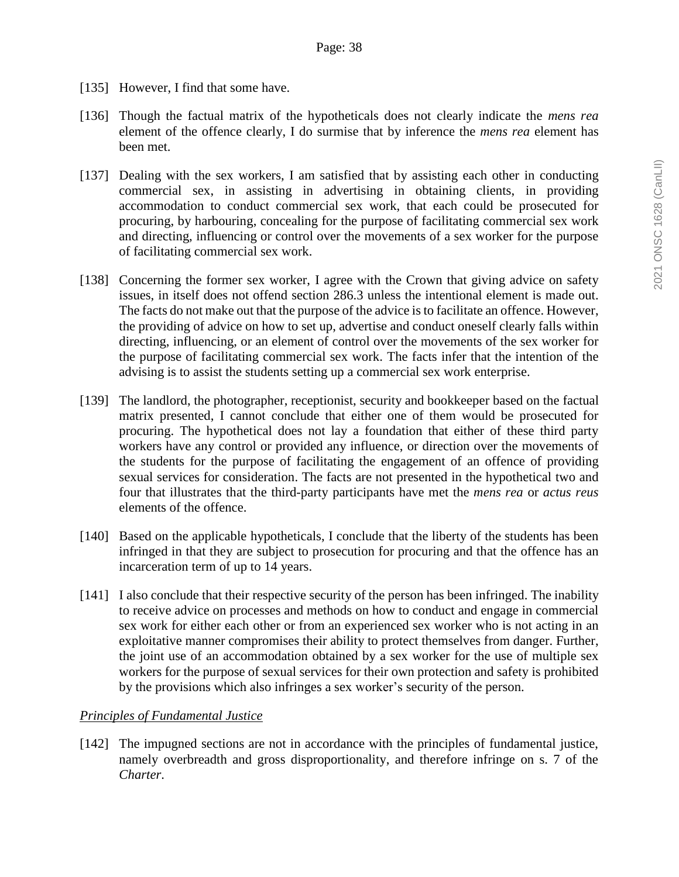- [135] However, I find that some have.
- [136] Though the factual matrix of the hypotheticals does not clearly indicate the *mens rea* element of the offence clearly, I do surmise that by inference the *mens rea* element has been met.
- [137] Dealing with the sex workers, I am satisfied that by assisting each other in conducting commercial sex, in assisting in advertising in obtaining clients, in providing accommodation to conduct commercial sex work, that each could be prosecuted for procuring, by harbouring, concealing for the purpose of facilitating commercial sex work and directing, influencing or control over the movements of a sex worker for the purpose of facilitating commercial sex work.
- [138] Concerning the former sex worker, I agree with the Crown that giving advice on safety issues, in itself does not offend section 286.3 unless the intentional element is made out. The facts do not make out that the purpose of the advice is to facilitate an offence. However, the providing of advice on how to set up, advertise and conduct oneself clearly falls within directing, influencing, or an element of control over the movements of the sex worker for the purpose of facilitating commercial sex work. The facts infer that the intention of the advising is to assist the students setting up a commercial sex work enterprise.
- [139] The landlord, the photographer, receptionist, security and bookkeeper based on the factual matrix presented, I cannot conclude that either one of them would be prosecuted for procuring. The hypothetical does not lay a foundation that either of these third party workers have any control or provided any influence, or direction over the movements of the students for the purpose of facilitating the engagement of an offence of providing sexual services for consideration. The facts are not presented in the hypothetical two and four that illustrates that the third-party participants have met the *mens rea* or *actus reus*  elements of the offence.
- [140] Based on the applicable hypotheticals, I conclude that the liberty of the students has been infringed in that they are subject to prosecution for procuring and that the offence has an incarceration term of up to 14 years.
- [141] I also conclude that their respective security of the person has been infringed. The inability to receive advice on processes and methods on how to conduct and engage in commercial sex work for either each other or from an experienced sex worker who is not acting in an exploitative manner compromises their ability to protect themselves from danger. Further, the joint use of an accommodation obtained by a sex worker for the use of multiple sex workers for the purpose of sexual services for their own protection and safety is prohibited by the provisions which also infringes a sex worker's security of the person.

# *Principles of Fundamental Justice*

[142] The impugned sections are not in accordance with the principles of fundamental justice, namely overbreadth and gross disproportionality, and therefore infringe on s. 7 of the *Charter*.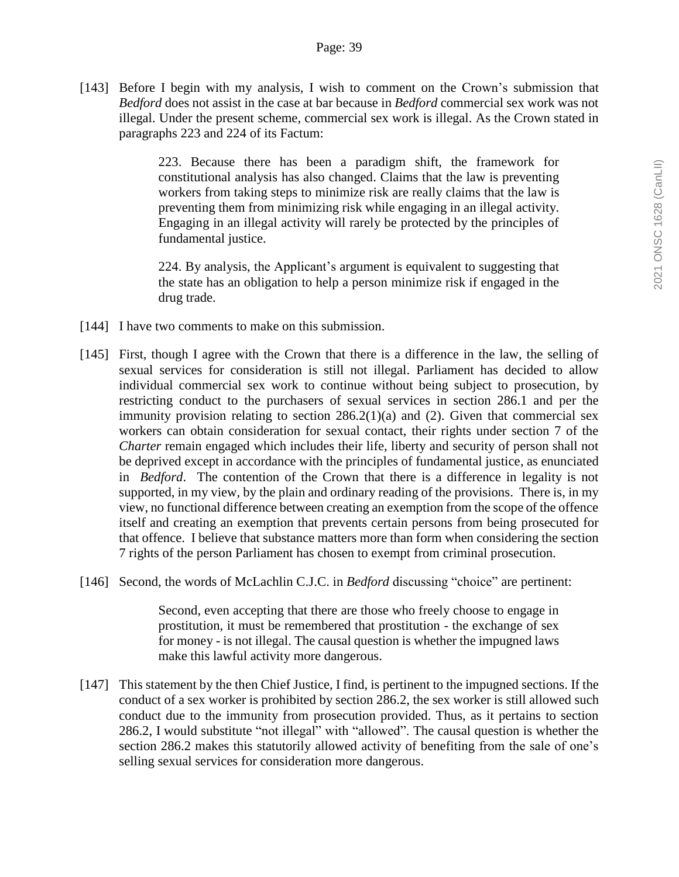[143] Before I begin with my analysis, I wish to comment on the Crown's submission that *Bedford* does not assist in the case at bar because in *Bedford* commercial sex work was not illegal. Under the present scheme, commercial sex work is illegal. As the Crown stated in paragraphs 223 and 224 of its Factum:

> 223. Because there has been a paradigm shift, the framework for constitutional analysis has also changed. Claims that the law is preventing workers from taking steps to minimize risk are really claims that the law is preventing them from minimizing risk while engaging in an illegal activity. Engaging in an illegal activity will rarely be protected by the principles of fundamental justice.

> 224. By analysis, the Applicant's argument is equivalent to suggesting that the state has an obligation to help a person minimize risk if engaged in the drug trade.

- [144] I have two comments to make on this submission.
- [145] First, though I agree with the Crown that there is a difference in the law, the selling of sexual services for consideration is still not illegal. Parliament has decided to allow individual commercial sex work to continue without being subject to prosecution, by restricting conduct to the purchasers of sexual services in section 286.1 and per the immunity provision relating to section 286.2(1)(a) and (2). Given that commercial sex workers can obtain consideration for sexual contact, their rights under section 7 of the *Charter* remain engaged which includes their life, liberty and security of person shall not be deprived except in accordance with the principles of fundamental justice, as enunciated in *Bedford*. The contention of the Crown that there is a difference in legality is not supported, in my view, by the plain and ordinary reading of the provisions. There is, in my view, no functional difference between creating an exemption from the scope of the offence itself and creating an exemption that prevents certain persons from being prosecuted for that offence. I believe that substance matters more than form when considering the section 7 rights of the person Parliament has chosen to exempt from criminal prosecution.
- [146] Second, the words of McLachlin C.J.C. in *Bedford* discussing "choice" are pertinent:

Second, even accepting that there are those who freely choose to engage in prostitution, it must be remembered that prostitution - the exchange of sex for money - is not illegal. The causal question is whether the impugned laws make this lawful activity more dangerous.

[147] This statement by the then Chief Justice, I find, is pertinent to the impugned sections. If the conduct of a sex worker is prohibited by section 286.2, the sex worker is still allowed such conduct due to the immunity from prosecution provided. Thus, as it pertains to section 286.2, I would substitute "not illegal" with "allowed". The causal question is whether the section 286.2 makes this statutorily allowed activity of benefiting from the sale of one's selling sexual services for consideration more dangerous.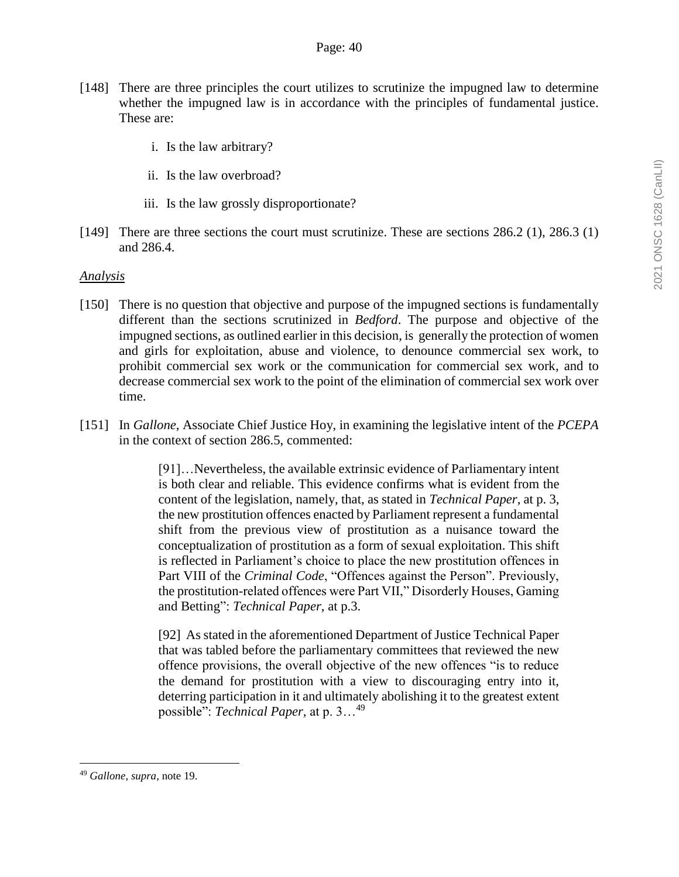- [148] There are three principles the court utilizes to scrutinize the impugned law to determine whether the impugned law is in accordance with the principles of fundamental justice. These are:
	- i. Is the law arbitrary?
	- ii. Is the law overbroad?
	- iii. Is the law grossly disproportionate?
- [149] There are three sections the court must scrutinize. These are sections 286.2 (1), 286.3 (1) and 286.4.

#### *Analysis*

- [150] There is no question that objective and purpose of the impugned sections is fundamentally different than the sections scrutinized in *Bedford*. The purpose and objective of the impugned sections, as outlined earlier in this decision, is generally the protection of women and girls for exploitation, abuse and violence, to denounce commercial sex work, to prohibit commercial sex work or the communication for commercial sex work, and to decrease commercial sex work to the point of the elimination of commercial sex work over time.
- [151] In *Gallone*, Associate Chief Justice Hoy, in examining the legislative intent of the *PCEPA* in the context of section 286.5, commented:

[91]…Nevertheless, the available extrinsic evidence of Parliamentary intent is both clear and reliable. This evidence confirms what is evident from the content of the legislation, namely, that, as stated in *Technical Paper*, at p. 3, the new prostitution offences enacted by Parliament represent a fundamental shift from the previous view of prostitution as a nuisance toward the conceptualization of prostitution as a form of sexual exploitation. This shift is reflected in Parliament's choice to place the new prostitution offences in Part VIII of the *Criminal Code*, "Offences against the Person". Previously, the prostitution-related offences were Part VII," Disorderly Houses, Gaming and Betting": *Technical Paper*, at p.3.

[92] As stated in the aforementioned Department of Justice Technical Paper that was tabled before the parliamentary committees that reviewed the new offence provisions, the overall objective of the new offences "is to reduce the demand for prostitution with a view to discouraging entry into it, deterring participation in it and ultimately abolishing it to the greatest extent possible": *Technical Paper,* at p. 3…<sup>49</sup>

<sup>49</sup> *Gallone*, *supra*, note 19.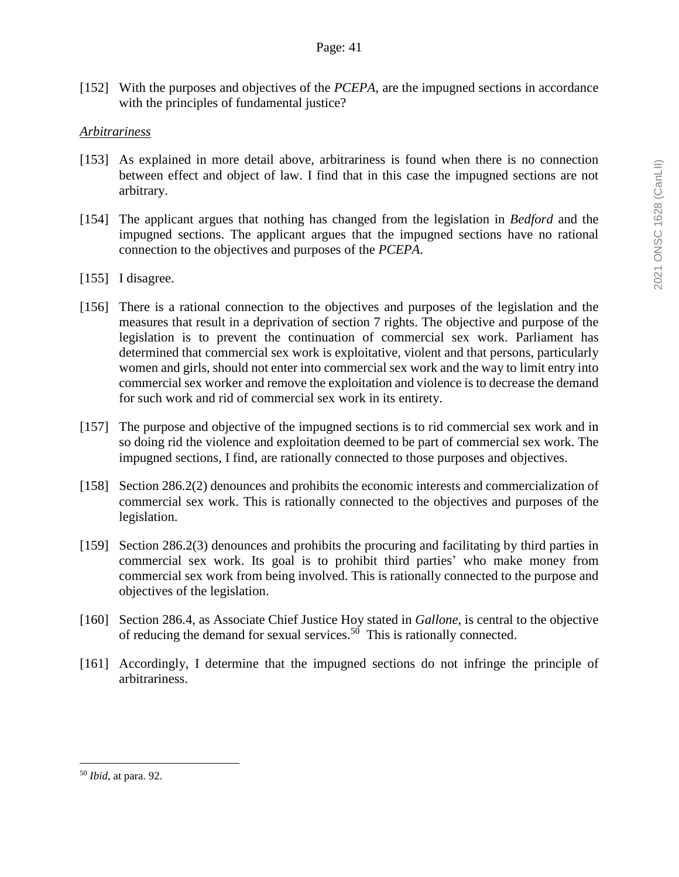[152] With the purposes and objectives of the *PCEPA*, are the impugned sections in accordance with the principles of fundamental justice?

#### *Arbitrariness*

- [153] As explained in more detail above, arbitrariness is found when there is no connection between effect and object of law. I find that in this case the impugned sections are not arbitrary.
- [154] The applicant argues that nothing has changed from the legislation in *Bedford* and the impugned sections. The applicant argues that the impugned sections have no rational connection to the objectives and purposes of the *PCEPA*.
- [155] I disagree.
- [156] There is a rational connection to the objectives and purposes of the legislation and the measures that result in a deprivation of section 7 rights. The objective and purpose of the legislation is to prevent the continuation of commercial sex work. Parliament has determined that commercial sex work is exploitative, violent and that persons, particularly women and girls, should not enter into commercial sex work and the way to limit entry into commercial sex worker and remove the exploitation and violence is to decrease the demand for such work and rid of commercial sex work in its entirety.
- [157] The purpose and objective of the impugned sections is to rid commercial sex work and in so doing rid the violence and exploitation deemed to be part of commercial sex work. The impugned sections, I find, are rationally connected to those purposes and objectives.
- [158] Section 286.2(2) denounces and prohibits the economic interests and commercialization of commercial sex work. This is rationally connected to the objectives and purposes of the legislation.
- [159] Section 286.2(3) denounces and prohibits the procuring and facilitating by third parties in commercial sex work. Its goal is to prohibit third parties' who make money from commercial sex work from being involved. This is rationally connected to the purpose and objectives of the legislation.
- [160] Section 286.4, as Associate Chief Justice Hoy stated in *Gallone*, is central to the objective of reducing the demand for sexual services.<sup>50</sup> This is rationally connected.
- [161] Accordingly, I determine that the impugned sections do not infringe the principle of arbitrariness.

<sup>50</sup> *Ibid*, at para. 92.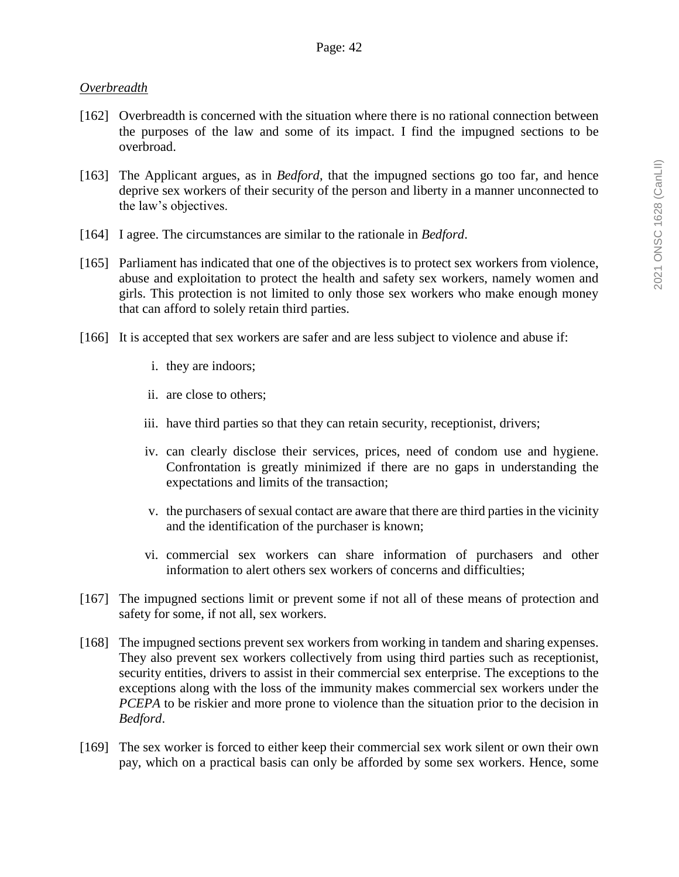### *Overbreadth*

- [162] Overbreadth is concerned with the situation where there is no rational connection between the purposes of the law and some of its impact. I find the impugned sections to be overbroad.
- [163] The Applicant argues, as in *Bedford*, that the impugned sections go too far, and hence deprive sex workers of their security of the person and liberty in a manner unconnected to the law's objectives.
- [164] I agree. The circumstances are similar to the rationale in *Bedford*.
- [165] Parliament has indicated that one of the objectives is to protect sex workers from violence, abuse and exploitation to protect the health and safety sex workers, namely women and girls. This protection is not limited to only those sex workers who make enough money that can afford to solely retain third parties.
- [166] It is accepted that sex workers are safer and are less subject to violence and abuse if:
	- i. they are indoors;
	- ii. are close to others;
	- iii. have third parties so that they can retain security, receptionist, drivers;
	- iv. can clearly disclose their services, prices, need of condom use and hygiene. Confrontation is greatly minimized if there are no gaps in understanding the expectations and limits of the transaction;
	- v. the purchasers of sexual contact are aware that there are third parties in the vicinity and the identification of the purchaser is known;
	- vi. commercial sex workers can share information of purchasers and other information to alert others sex workers of concerns and difficulties;
- [167] The impugned sections limit or prevent some if not all of these means of protection and safety for some, if not all, sex workers.
- [168] The impugned sections prevent sex workers from working in tandem and sharing expenses. They also prevent sex workers collectively from using third parties such as receptionist, security entities, drivers to assist in their commercial sex enterprise. The exceptions to the exceptions along with the loss of the immunity makes commercial sex workers under the *PCEPA* to be riskier and more prone to violence than the situation prior to the decision in *Bedford*.
- [169] The sex worker is forced to either keep their commercial sex work silent or own their own pay, which on a practical basis can only be afforded by some sex workers. Hence, some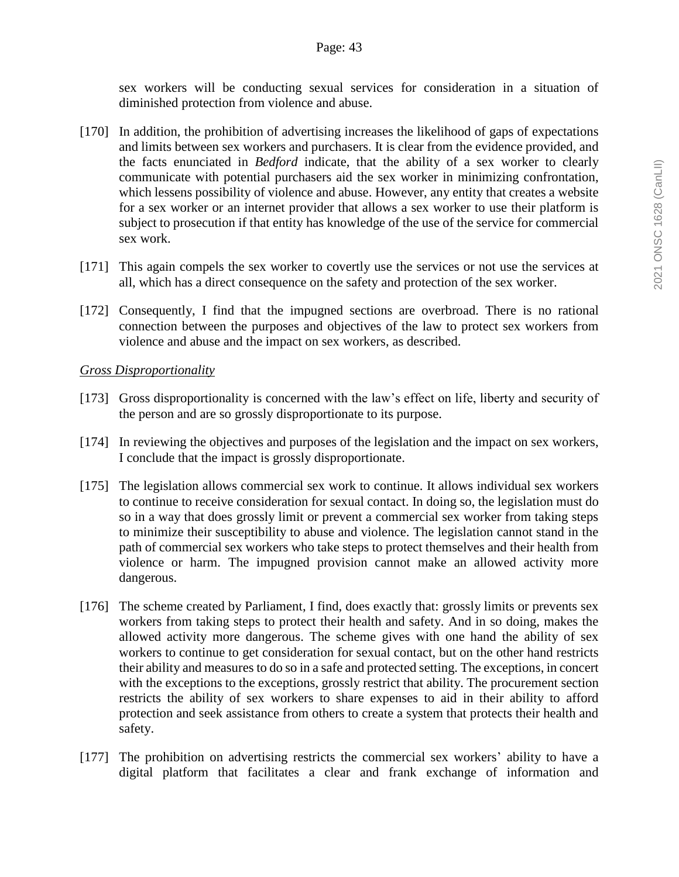sex workers will be conducting sexual services for consideration in a situation of diminished protection from violence and abuse.

- [170] In addition, the prohibition of advertising increases the likelihood of gaps of expectations and limits between sex workers and purchasers. It is clear from the evidence provided, and the facts enunciated in *Bedford* indicate, that the ability of a sex worker to clearly communicate with potential purchasers aid the sex worker in minimizing confrontation, which lessens possibility of violence and abuse. However, any entity that creates a website for a sex worker or an internet provider that allows a sex worker to use their platform is subject to prosecution if that entity has knowledge of the use of the service for commercial sex work.
- [171] This again compels the sex worker to covertly use the services or not use the services at all, which has a direct consequence on the safety and protection of the sex worker.
- [172] Consequently, I find that the impugned sections are overbroad. There is no rational connection between the purposes and objectives of the law to protect sex workers from violence and abuse and the impact on sex workers, as described.

# *Gross Disproportionality*

- [173] Gross disproportionality is concerned with the law's effect on life, liberty and security of the person and are so grossly disproportionate to its purpose.
- [174] In reviewing the objectives and purposes of the legislation and the impact on sex workers, I conclude that the impact is grossly disproportionate.
- [175] The legislation allows commercial sex work to continue. It allows individual sex workers to continue to receive consideration for sexual contact. In doing so, the legislation must do so in a way that does grossly limit or prevent a commercial sex worker from taking steps to minimize their susceptibility to abuse and violence. The legislation cannot stand in the path of commercial sex workers who take steps to protect themselves and their health from violence or harm. The impugned provision cannot make an allowed activity more dangerous.
- [176] The scheme created by Parliament, I find, does exactly that: grossly limits or prevents sex workers from taking steps to protect their health and safety. And in so doing, makes the allowed activity more dangerous. The scheme gives with one hand the ability of sex workers to continue to get consideration for sexual contact, but on the other hand restricts their ability and measures to do so in a safe and protected setting. The exceptions, in concert with the exceptions to the exceptions, grossly restrict that ability. The procurement section restricts the ability of sex workers to share expenses to aid in their ability to afford protection and seek assistance from others to create a system that protects their health and safety.
- [177] The prohibition on advertising restricts the commercial sex workers' ability to have a digital platform that facilitates a clear and frank exchange of information and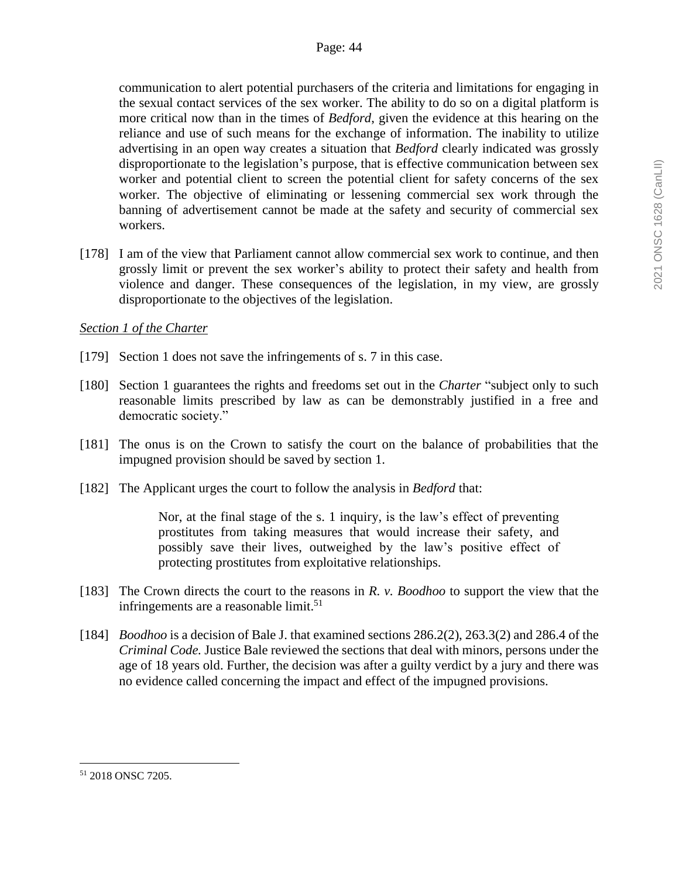communication to alert potential purchasers of the criteria and limitations for engaging in the sexual contact services of the sex worker. The ability to do so on a digital platform is more critical now than in the times of *Bedford*, given the evidence at this hearing on the reliance and use of such means for the exchange of information. The inability to utilize advertising in an open way creates a situation that *Bedford* clearly indicated was grossly disproportionate to the legislation's purpose, that is effective communication between sex worker and potential client to screen the potential client for safety concerns of the sex worker. The objective of eliminating or lessening commercial sex work through the banning of advertisement cannot be made at the safety and security of commercial sex workers.

[178] I am of the view that Parliament cannot allow commercial sex work to continue, and then grossly limit or prevent the sex worker's ability to protect their safety and health from violence and danger. These consequences of the legislation, in my view, are grossly disproportionate to the objectives of the legislation.

### *Section 1 of the Charter*

- [179] Section 1 does not save the infringements of s. 7 in this case.
- [180] Section 1 guarantees the rights and freedoms set out in the *Charter* "subject only to such reasonable limits prescribed by law as can be demonstrably justified in a free and democratic society."
- [181] The onus is on the Crown to satisfy the court on the balance of probabilities that the impugned provision should be saved by section 1.
- [182] The Applicant urges the court to follow the analysis in *Bedford* that:

Nor, at the final stage of the s. 1 inquiry, is the law's effect of preventing prostitutes from taking measures that would increase their safety, and possibly save their lives, outweighed by the law's positive effect of protecting prostitutes from exploitative relationships.

- [183] The Crown directs the court to the reasons in *R. v. Boodhoo* to support the view that the infringements are a reasonable limit. $51$
- [184] *Boodhoo* is a decision of Bale J. that examined sections 286.2(2), 263.3(2) and 286.4 of the *Criminal Code.* Justice Bale reviewed the sections that deal with minors, persons under the age of 18 years old. Further, the decision was after a guilty verdict by a jury and there was no evidence called concerning the impact and effect of the impugned provisions.

<sup>51</sup> 2018 ONSC 7205.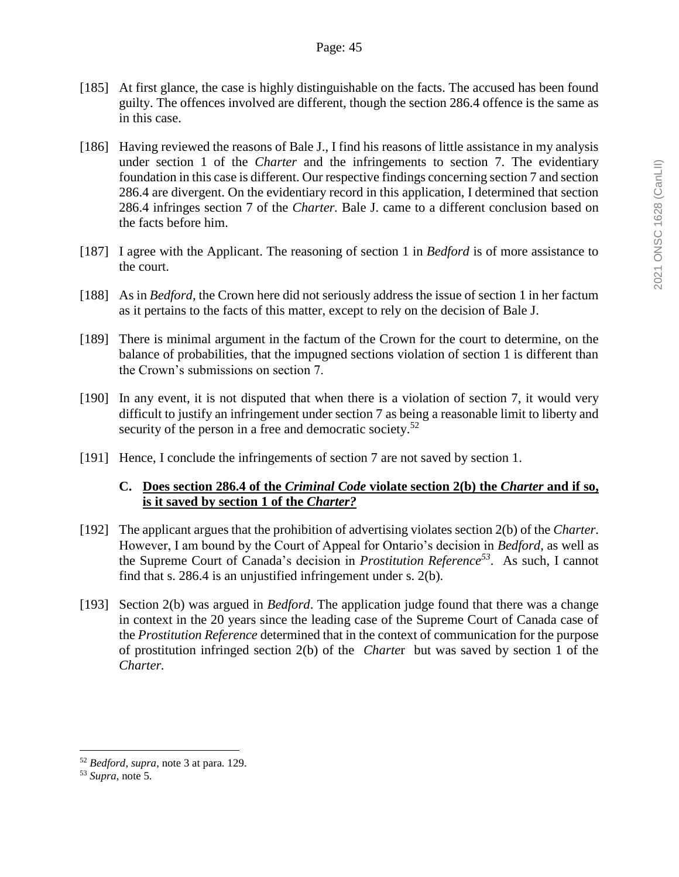- [185] At first glance, the case is highly distinguishable on the facts. The accused has been found guilty. The offences involved are different, though the section 286.4 offence is the same as in this case.
- [186] Having reviewed the reasons of Bale J., I find his reasons of little assistance in my analysis under section 1 of the *Charter* and the infringements to section 7. The evidentiary foundation in this case is different. Our respective findings concerning section 7 and section 286.4 are divergent. On the evidentiary record in this application, I determined that section 286.4 infringes section 7 of the *Charter.* Bale J. came to a different conclusion based on the facts before him.
- [187] I agree with the Applicant. The reasoning of section 1 in *Bedford* is of more assistance to the court.
- [188] As in *Bedford*, the Crown here did not seriously address the issue of section 1 in her factum as it pertains to the facts of this matter, except to rely on the decision of Bale J.
- [189] There is minimal argument in the factum of the Crown for the court to determine, on the balance of probabilities, that the impugned sections violation of section 1 is different than the Crown's submissions on section 7.
- [190] In any event, it is not disputed that when there is a violation of section 7, it would very difficult to justify an infringement under section 7 as being a reasonable limit to liberty and security of the person in a free and democratic society.<sup>52</sup>
- [191] Hence, I conclude the infringements of section 7 are not saved by section 1.

# **C. Does section 286.4 of the** *Criminal Code* **violate section 2(b) the** *Charter* **and if so, is it saved by section 1 of the** *Charter?*

- [192] The applicant argues that the prohibition of advertising violates section 2(b) of the *Charter*. However, I am bound by the Court of Appeal for Ontario's decision in *Bedford*, as well as the Supreme Court of Canada's decision in *Prostitution Reference<sup>53</sup>* . As such, I cannot find that s. 286.4 is an unjustified infringement under s. 2(b).
- [193] Section 2(b) was argued in *Bedford*. The application judge found that there was a change in context in the 20 years since the leading case of the Supreme Court of Canada case of the *Prostitution Reference* determined that in the context of communication for the purpose of prostitution infringed section 2(b) of the *Charte*r but was saved by section 1 of the *Charter.*

<sup>52</sup> *Bedford*, *supra*, note 3 at para. 129.

<sup>53</sup> *Supra*, note 5.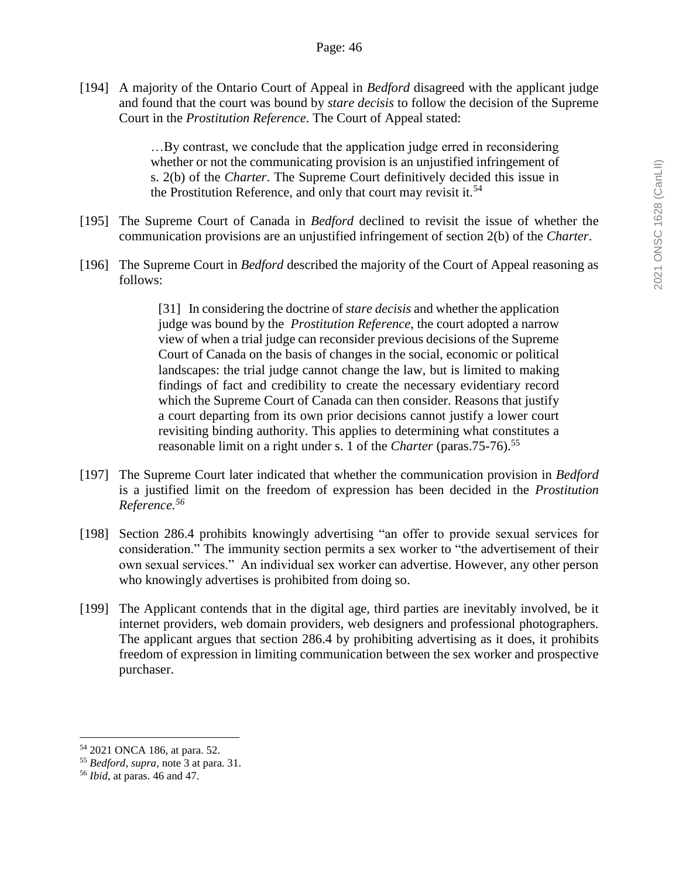[194] A majority of the Ontario Court of Appeal in *Bedford* disagreed with the applicant judge and found that the court was bound by *stare decisis* to follow the decision of the Supreme Court in the *Prostitution Reference*. The Court of Appeal stated:

> …By contrast, we conclude that the application judge erred in reconsidering whether or not the communicating provision is an unjustified infringement of s. 2(b) of the *Charter*. The Supreme Court definitively decided this issue in the Prostitution Reference, and only that court may revisit it.<sup>54</sup>

- [195] The Supreme Court of Canada in *Bedford* declined to revisit the issue of whether the communication provisions are an unjustified infringement of section 2(b) of the *Charter*.
- [196] The Supreme Court in *Bedford* described the majority of the Court of Appeal reasoning as follows:

[31] In considering the doctrine of *stare decisis* and whether the application judge was bound by the *Prostitution Reference*, the court adopted a narrow view of when a trial judge can reconsider previous decisions of the Supreme Court of Canada on the basis of changes in the social, economic or political landscapes: the trial judge cannot change the law, but is limited to making findings of fact and credibility to create the necessary evidentiary record which the Supreme Court of Canada can then consider. Reasons that justify a court departing from its own prior decisions cannot justify a lower court revisiting binding authority. This applies to determining what constitutes a reasonable limit on a right under s. 1 of the *Charter* (paras. 75-76).<sup>55</sup>

- [197] The Supreme Court later indicated that whether the communication provision in *Bedford*  is a justified limit on the freedom of expression has been decided in the *Prostitution Reference.<sup>56</sup>*
- [198] Section 286.4 prohibits knowingly advertising "an offer to provide sexual services for consideration." The immunity section permits a sex worker to "the advertisement of their own sexual services." An individual sex worker can advertise. However, any other person who knowingly advertises is prohibited from doing so.
- [199] The Applicant contends that in the digital age, third parties are inevitably involved, be it internet providers, web domain providers, web designers and professional photographers. The applicant argues that section 286.4 by prohibiting advertising as it does, it prohibits freedom of expression in limiting communication between the sex worker and prospective purchaser.

<sup>54</sup> 2021 ONCA 186, at para. 52.

<sup>55</sup> *Bedford*, *supra*, note 3 at para. 31.

<sup>56</sup> *Ibid*, at paras. 46 and 47.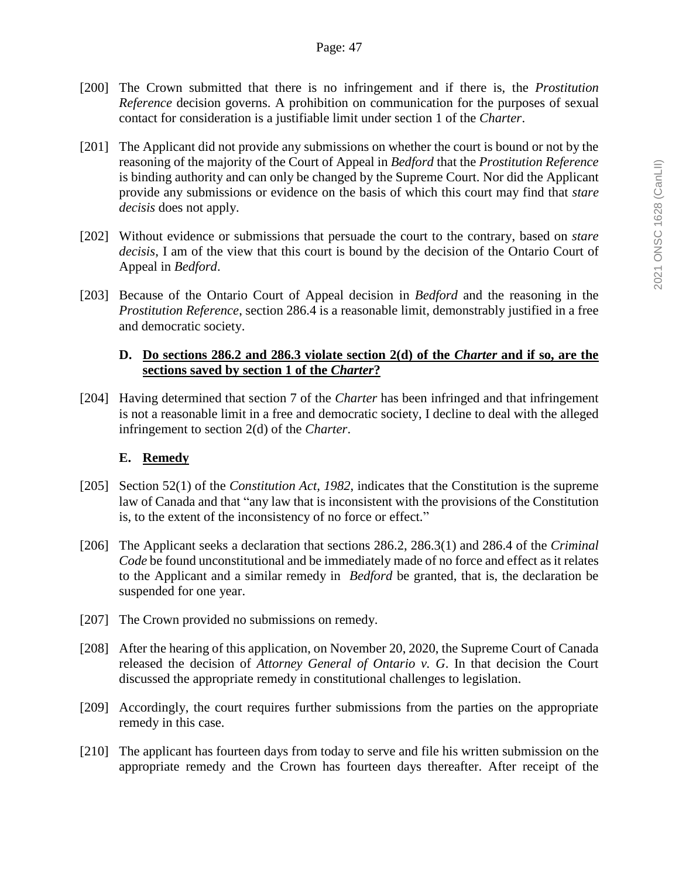- [200] The Crown submitted that there is no infringement and if there is, the *Prostitution Reference* decision governs. A prohibition on communication for the purposes of sexual contact for consideration is a justifiable limit under section 1 of the *Charter*.
- [201] The Applicant did not provide any submissions on whether the court is bound or not by the reasoning of the majority of the Court of Appeal in *Bedford* that the *Prostitution Reference* is binding authority and can only be changed by the Supreme Court. Nor did the Applicant provide any submissions or evidence on the basis of which this court may find that *stare decisis* does not apply.
- [202] Without evidence or submissions that persuade the court to the contrary, based on *stare decisis*, I am of the view that this court is bound by the decision of the Ontario Court of Appeal in *Bedford*.
- [203] Because of the Ontario Court of Appeal decision in *Bedford* and the reasoning in the *Prostitution Reference*, section 286.4 is a reasonable limit, demonstrably justified in a free and democratic society.

### **D. Do sections 286.2 and 286.3 violate section 2(d) of the** *Charter* **and if so, are the sections saved by section 1 of the** *Charter***?**

[204] Having determined that section 7 of the *Charter* has been infringed and that infringement is not a reasonable limit in a free and democratic society, I decline to deal with the alleged infringement to section 2(d) of the *Charter*.

# **E. Remedy**

- [205] Section 52(1) of the *Constitution Act, 1982*, indicates that the Constitution is the supreme law of Canada and that "any law that is inconsistent with the provisions of the Constitution is, to the extent of the inconsistency of no force or effect."
- [206] The Applicant seeks a declaration that sections 286.2, 286.3(1) and 286.4 of the *Criminal Code* be found unconstitutional and be immediately made of no force and effect as it relates to the Applicant and a similar remedy in *Bedford* be granted, that is, the declaration be suspended for one year.
- [207] The Crown provided no submissions on remedy.
- [208] After the hearing of this application, on November 20, 2020, the Supreme Court of Canada released the decision of *Attorney General of Ontario v. G*. In that decision the Court discussed the appropriate remedy in constitutional challenges to legislation.
- [209] Accordingly, the court requires further submissions from the parties on the appropriate remedy in this case.
- [210] The applicant has fourteen days from today to serve and file his written submission on the appropriate remedy and the Crown has fourteen days thereafter. After receipt of the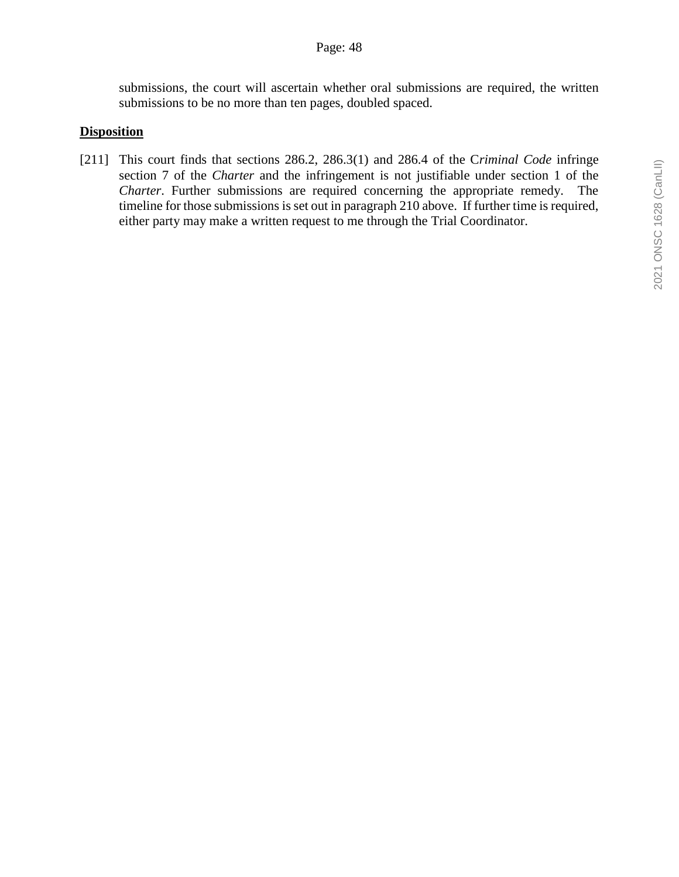submissions, the court will ascertain whether oral submissions are required, the written submissions to be no more than ten pages, doubled spaced.

### **Disposition**

[211] This court finds that sections 286.2, 286.3(1) and 286.4 of the C*riminal Code* infringe section 7 of the *Charter* and the infringement is not justifiable under section 1 of the *Charter*. Further submissions are required concerning the appropriate remedy. The timeline for those submissions is set out in paragraph 210 above. If further time is required, either party may make a written request to me through the Trial Coordinator.